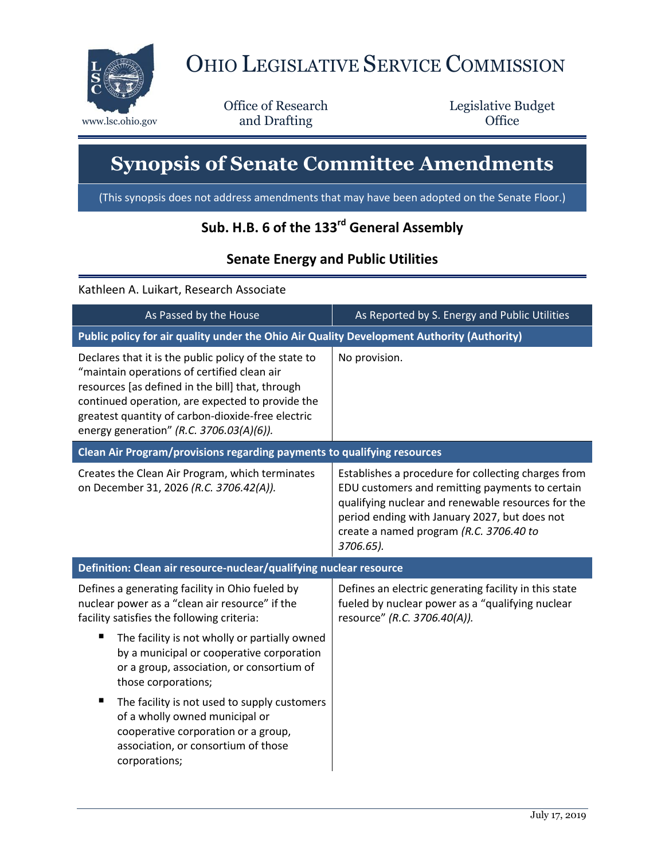

## OHIO LEGISLATIVE SERVICE COMMISSION

Office of Research www.lsc.ohio.gov and Drafting Control Control of Control Control Office

Legislative Budget

## **Synopsis of Senate Committee Amendments**

(This synopsis does not address amendments that may have been adopted on the Senate Floor.)

## **Sub. H.B. 6 of the 133rd General Assembly**

## **Senate Energy and Public Utilities**

Kathleen A. Luikart, Research Associate

| As Passed by the House                                                                                                                                                                                                                                                                                        | As Reported by S. Energy and Public Utilities                                                                                                                                                                                                                         |
|---------------------------------------------------------------------------------------------------------------------------------------------------------------------------------------------------------------------------------------------------------------------------------------------------------------|-----------------------------------------------------------------------------------------------------------------------------------------------------------------------------------------------------------------------------------------------------------------------|
| Public policy for air quality under the Ohio Air Quality Development Authority (Authority)                                                                                                                                                                                                                    |                                                                                                                                                                                                                                                                       |
| Declares that it is the public policy of the state to<br>"maintain operations of certified clean air<br>resources [as defined in the bill] that, through<br>continued operation, are expected to provide the<br>greatest quantity of carbon-dioxide-free electric<br>energy generation" (R.C. 3706.03(A)(6)). | No provision.                                                                                                                                                                                                                                                         |
| Clean Air Program/provisions regarding payments to qualifying resources                                                                                                                                                                                                                                       |                                                                                                                                                                                                                                                                       |
| Creates the Clean Air Program, which terminates<br>on December 31, 2026 (R.C. 3706.42(A)).                                                                                                                                                                                                                    | Establishes a procedure for collecting charges from<br>EDU customers and remitting payments to certain<br>qualifying nuclear and renewable resources for the<br>period ending with January 2027, but does not<br>create a named program (R.C. 3706.40 to<br>3706.65). |
| Definition: Clean air resource-nuclear/qualifying nuclear resource                                                                                                                                                                                                                                            |                                                                                                                                                                                                                                                                       |
| Defines a generating facility in Ohio fueled by<br>nuclear power as a "clean air resource" if the<br>facility satisfies the following criteria:<br>п<br>The facility is not wholly or partially owned<br>by a municipal or cooperative corporation                                                            | Defines an electric generating facility in this state<br>fueled by nuclear power as a "qualifying nuclear<br>resource" (R.C. 3706.40(A)).                                                                                                                             |
| or a group, association, or consortium of<br>those corporations;                                                                                                                                                                                                                                              |                                                                                                                                                                                                                                                                       |
| п<br>The facility is not used to supply customers<br>of a wholly owned municipal or<br>cooperative corporation or a group,<br>association, or consortium of those<br>corporations;                                                                                                                            |                                                                                                                                                                                                                                                                       |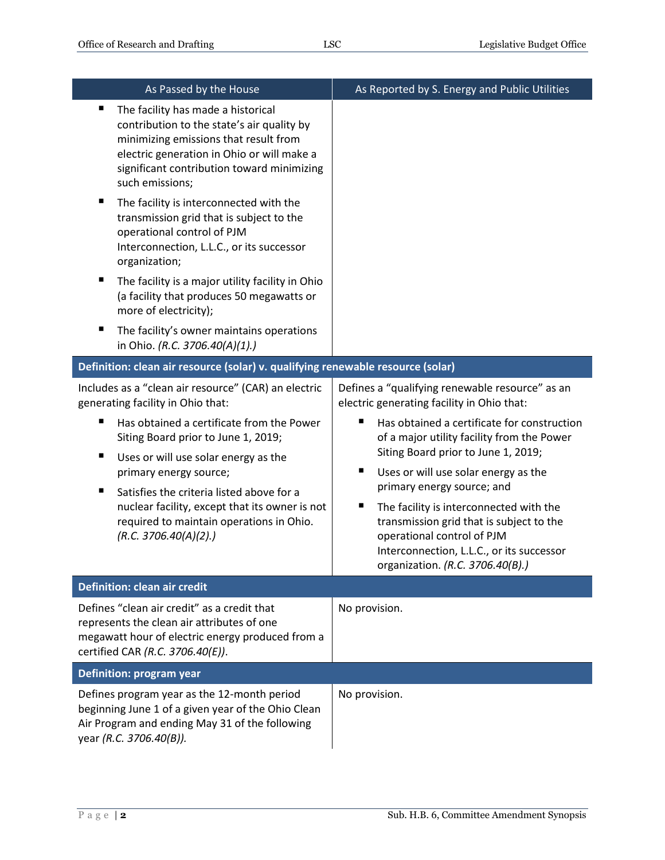| As Passed by the House                                                                                                                                                                                                                                                                                                                                                                                                                                                                                                                                                                                                                                   | As Reported by S. Energy and Public Utilities                                                                                                                                                                                                                                                                                                                                                                                                                                                                                |
|----------------------------------------------------------------------------------------------------------------------------------------------------------------------------------------------------------------------------------------------------------------------------------------------------------------------------------------------------------------------------------------------------------------------------------------------------------------------------------------------------------------------------------------------------------------------------------------------------------------------------------------------------------|------------------------------------------------------------------------------------------------------------------------------------------------------------------------------------------------------------------------------------------------------------------------------------------------------------------------------------------------------------------------------------------------------------------------------------------------------------------------------------------------------------------------------|
| The facility has made a historical<br>п<br>contribution to the state's air quality by<br>minimizing emissions that result from<br>electric generation in Ohio or will make a<br>significant contribution toward minimizing<br>such emissions;<br>The facility is interconnected with the<br>ш<br>transmission grid that is subject to the<br>operational control of PJM<br>Interconnection, L.L.C., or its successor<br>organization;<br>The facility is a major utility facility in Ohio<br>ш<br>(a facility that produces 50 megawatts or<br>more of electricity);<br>The facility's owner maintains operations<br>ш<br>in Ohio. (R.C. 3706.40(A)(1).) |                                                                                                                                                                                                                                                                                                                                                                                                                                                                                                                              |
| Definition: clean air resource (solar) v. qualifying renewable resource (solar)                                                                                                                                                                                                                                                                                                                                                                                                                                                                                                                                                                          |                                                                                                                                                                                                                                                                                                                                                                                                                                                                                                                              |
| Includes as a "clean air resource" (CAR) an electric<br>generating facility in Ohio that:<br>Has obtained a certificate from the Power<br>п<br>Siting Board prior to June 1, 2019;<br>Uses or will use solar energy as the<br>Е<br>primary energy source;<br>Satisfies the criteria listed above for a<br>п<br>nuclear facility, except that its owner is not<br>required to maintain operations in Ohio.<br>(R.C. 3706.40(A)(2).)                                                                                                                                                                                                                       | Defines a "qualifying renewable resource" as an<br>electric generating facility in Ohio that:<br>Has obtained a certificate for construction<br>п<br>of a major utility facility from the Power<br>Siting Board prior to June 1, 2019;<br>п<br>Uses or will use solar energy as the<br>primary energy source; and<br>п<br>The facility is interconnected with the<br>transmission grid that is subject to the<br>operational control of PJM<br>Interconnection, L.L.C., or its successor<br>organization. (R.C. 3706.40(B).) |
| <b>Definition: clean air credit</b>                                                                                                                                                                                                                                                                                                                                                                                                                                                                                                                                                                                                                      |                                                                                                                                                                                                                                                                                                                                                                                                                                                                                                                              |
| Defines "clean air credit" as a credit that<br>represents the clean air attributes of one<br>megawatt hour of electric energy produced from a<br>certified CAR (R.C. 3706.40(E)).                                                                                                                                                                                                                                                                                                                                                                                                                                                                        | No provision.                                                                                                                                                                                                                                                                                                                                                                                                                                                                                                                |
| <b>Definition: program year</b>                                                                                                                                                                                                                                                                                                                                                                                                                                                                                                                                                                                                                          |                                                                                                                                                                                                                                                                                                                                                                                                                                                                                                                              |
| Defines program year as the 12-month period<br>beginning June 1 of a given year of the Ohio Clean<br>Air Program and ending May 31 of the following<br>year (R.C. 3706.40(B)).                                                                                                                                                                                                                                                                                                                                                                                                                                                                           | No provision.                                                                                                                                                                                                                                                                                                                                                                                                                                                                                                                |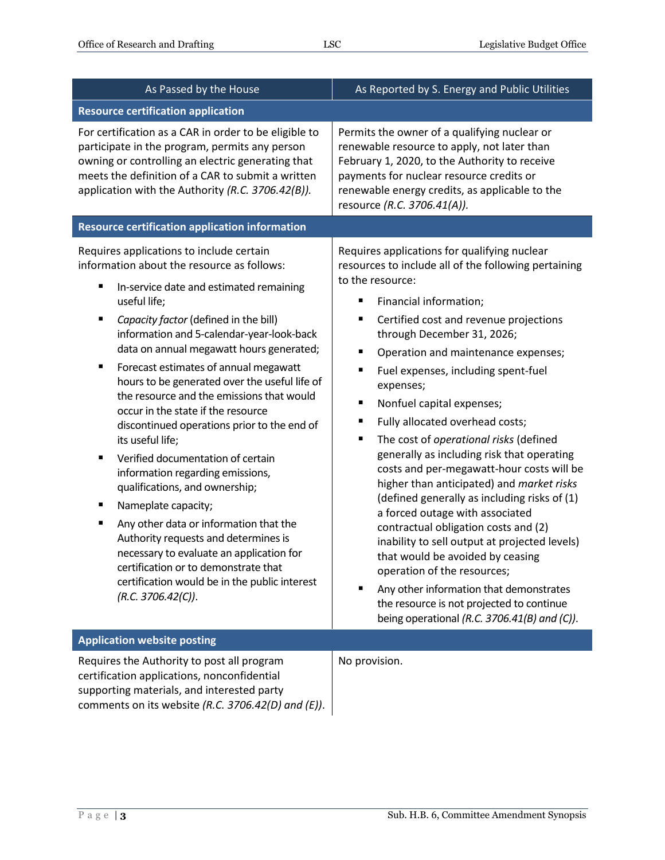| As Passed by the House                                                                                                                                                                                                                                                                                                                                                                                                                                                                                                                                                                                                                                                                                                                                                                                                                                                                                                                           | As Reported by S. Energy and Public Utilities                                                                                                                                                                                                                                                                                                                                                                                                                                                                                                                                                                                                                                                                                                                                                                                                                                                                                                                                                                                    |
|--------------------------------------------------------------------------------------------------------------------------------------------------------------------------------------------------------------------------------------------------------------------------------------------------------------------------------------------------------------------------------------------------------------------------------------------------------------------------------------------------------------------------------------------------------------------------------------------------------------------------------------------------------------------------------------------------------------------------------------------------------------------------------------------------------------------------------------------------------------------------------------------------------------------------------------------------|----------------------------------------------------------------------------------------------------------------------------------------------------------------------------------------------------------------------------------------------------------------------------------------------------------------------------------------------------------------------------------------------------------------------------------------------------------------------------------------------------------------------------------------------------------------------------------------------------------------------------------------------------------------------------------------------------------------------------------------------------------------------------------------------------------------------------------------------------------------------------------------------------------------------------------------------------------------------------------------------------------------------------------|
| <b>Resource certification application</b>                                                                                                                                                                                                                                                                                                                                                                                                                                                                                                                                                                                                                                                                                                                                                                                                                                                                                                        |                                                                                                                                                                                                                                                                                                                                                                                                                                                                                                                                                                                                                                                                                                                                                                                                                                                                                                                                                                                                                                  |
| For certification as a CAR in order to be eligible to<br>participate in the program, permits any person<br>owning or controlling an electric generating that<br>meets the definition of a CAR to submit a written<br>application with the Authority (R.C. 3706.42(B)).                                                                                                                                                                                                                                                                                                                                                                                                                                                                                                                                                                                                                                                                           | Permits the owner of a qualifying nuclear or<br>renewable resource to apply, not later than<br>February 1, 2020, to the Authority to receive<br>payments for nuclear resource credits or<br>renewable energy credits, as applicable to the<br>resource (R.C. 3706.41(A)).                                                                                                                                                                                                                                                                                                                                                                                                                                                                                                                                                                                                                                                                                                                                                        |
| <b>Resource certification application information</b>                                                                                                                                                                                                                                                                                                                                                                                                                                                                                                                                                                                                                                                                                                                                                                                                                                                                                            |                                                                                                                                                                                                                                                                                                                                                                                                                                                                                                                                                                                                                                                                                                                                                                                                                                                                                                                                                                                                                                  |
| Requires applications to include certain<br>information about the resource as follows:<br>In-service date and estimated remaining<br>Е<br>useful life;<br>Capacity factor (defined in the bill)<br>п<br>information and 5-calendar-year-look-back<br>data on annual megawatt hours generated;<br>Forecast estimates of annual megawatt<br>٠<br>hours to be generated over the useful life of<br>the resource and the emissions that would<br>occur in the state if the resource<br>discontinued operations prior to the end of<br>its useful life;<br>Verified documentation of certain<br>٠<br>information regarding emissions,<br>qualifications, and ownership;<br>Nameplate capacity;<br>ш<br>Any other data or information that the<br>п<br>Authority requests and determines is<br>necessary to evaluate an application for<br>certification or to demonstrate that<br>certification would be in the public interest<br>(R.C. 3706.42(C)). | Requires applications for qualifying nuclear<br>resources to include all of the following pertaining<br>to the resource:<br>Financial information;<br>п<br>Certified cost and revenue projections<br>П<br>through December 31, 2026;<br>$\blacksquare$<br>Operation and maintenance expenses;<br>Fuel expenses, including spent-fuel<br>п<br>expenses;<br>Nonfuel capital expenses;<br>п<br>Fully allocated overhead costs;<br>п<br>$\blacksquare$<br>The cost of operational risks (defined<br>generally as including risk that operating<br>costs and per-megawatt-hour costs will be<br>higher than anticipated) and market risks<br>(defined generally as including risks of (1)<br>a forced outage with associated<br>contractual obligation costs and (2)<br>inability to sell output at projected levels)<br>that would be avoided by ceasing<br>operation of the resources;<br>Any other information that demonstrates<br>п<br>the resource is not projected to continue<br>being operational (R.C. 3706.41(B) and (C)). |
| <b>Application website posting</b>                                                                                                                                                                                                                                                                                                                                                                                                                                                                                                                                                                                                                                                                                                                                                                                                                                                                                                               |                                                                                                                                                                                                                                                                                                                                                                                                                                                                                                                                                                                                                                                                                                                                                                                                                                                                                                                                                                                                                                  |
| Requires the Authority to post all program<br>certification applications, nonconfidential<br>supporting materials, and interested party<br>comments on its website (R.C. 3706.42(D) and (E)).                                                                                                                                                                                                                                                                                                                                                                                                                                                                                                                                                                                                                                                                                                                                                    | No provision.                                                                                                                                                                                                                                                                                                                                                                                                                                                                                                                                                                                                                                                                                                                                                                                                                                                                                                                                                                                                                    |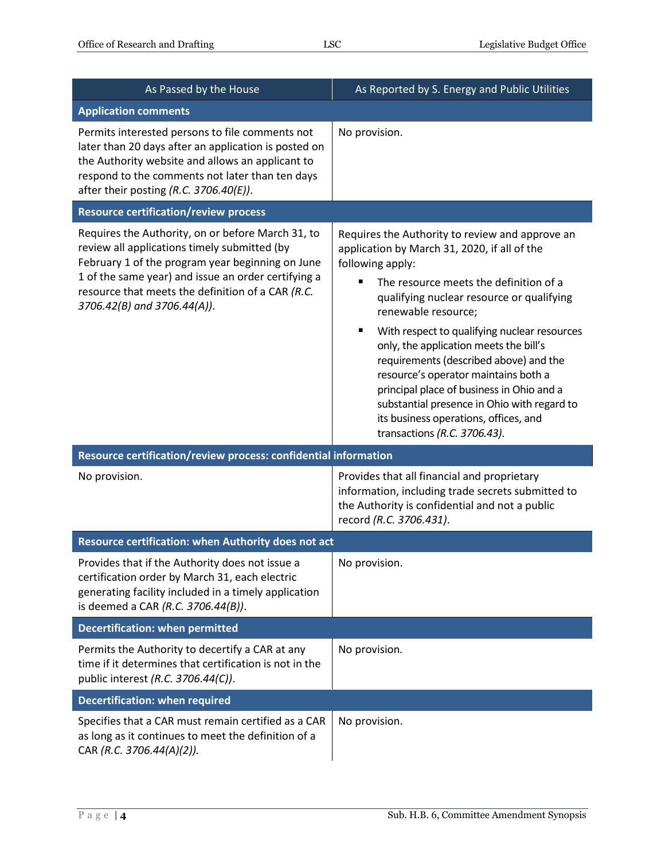| As Passed by the House                                                                                                                                                                                                                                                                                                                                              | As Reported by S. Energy and Public Utilities                                                                                                                                                                                                                                                                                                                                                                                                                                                                                                                                           |  |
|---------------------------------------------------------------------------------------------------------------------------------------------------------------------------------------------------------------------------------------------------------------------------------------------------------------------------------------------------------------------|-----------------------------------------------------------------------------------------------------------------------------------------------------------------------------------------------------------------------------------------------------------------------------------------------------------------------------------------------------------------------------------------------------------------------------------------------------------------------------------------------------------------------------------------------------------------------------------------|--|
| <b>Application comments</b>                                                                                                                                                                                                                                                                                                                                         |                                                                                                                                                                                                                                                                                                                                                                                                                                                                                                                                                                                         |  |
| Permits interested persons to file comments not<br>later than 20 days after an application is posted on<br>the Authority website and allows an applicant to<br>respond to the comments not later than ten days<br>after their posting $(R.C. 3706.40(E)).$                                                                                                          | No provision.                                                                                                                                                                                                                                                                                                                                                                                                                                                                                                                                                                           |  |
| <b>Resource certification/review process</b>                                                                                                                                                                                                                                                                                                                        |                                                                                                                                                                                                                                                                                                                                                                                                                                                                                                                                                                                         |  |
| Requires the Authority, on or before March 31, to<br>review all applications timely submitted (by<br>February 1 of the program year beginning on June<br>1 of the same year) and issue an order certifying a<br>resource that meets the definition of a CAR (R.C.<br>3706.42(B) and 3706.44(A)).<br>Resource certification/review process: confidential information | Requires the Authority to review and approve an<br>application by March 31, 2020, if all of the<br>following apply:<br>The resource meets the definition of a<br>qualifying nuclear resource or qualifying<br>renewable resource;<br>٠<br>With respect to qualifying nuclear resources<br>only, the application meets the bill's<br>requirements (described above) and the<br>resource's operator maintains both a<br>principal place of business in Ohio and a<br>substantial presence in Ohio with regard to<br>its business operations, offices, and<br>transactions (R.C. 3706.43). |  |
| No provision.                                                                                                                                                                                                                                                                                                                                                       | Provides that all financial and proprietary<br>information, including trade secrets submitted to<br>the Authority is confidential and not a public<br>record (R.C. 3706.431).                                                                                                                                                                                                                                                                                                                                                                                                           |  |
| Resource certification: when Authority does not act                                                                                                                                                                                                                                                                                                                 |                                                                                                                                                                                                                                                                                                                                                                                                                                                                                                                                                                                         |  |
| Provides that if the Authority does not issue a<br>certification order by March 31, each electric<br>generating facility included in a timely application<br>is deemed a CAR (R.C. 3706.44(B)).                                                                                                                                                                     | No provision.                                                                                                                                                                                                                                                                                                                                                                                                                                                                                                                                                                           |  |
| <b>Decertification: when permitted</b>                                                                                                                                                                                                                                                                                                                              |                                                                                                                                                                                                                                                                                                                                                                                                                                                                                                                                                                                         |  |
| Permits the Authority to decertify a CAR at any<br>time if it determines that certification is not in the<br>public interest (R.C. 3706.44(C)).                                                                                                                                                                                                                     | No provision.                                                                                                                                                                                                                                                                                                                                                                                                                                                                                                                                                                           |  |
| <b>Decertification: when required</b>                                                                                                                                                                                                                                                                                                                               |                                                                                                                                                                                                                                                                                                                                                                                                                                                                                                                                                                                         |  |
| Specifies that a CAR must remain certified as a CAR<br>as long as it continues to meet the definition of a<br>CAR (R.C. 3706.44(A)(2)).                                                                                                                                                                                                                             | No provision.                                                                                                                                                                                                                                                                                                                                                                                                                                                                                                                                                                           |  |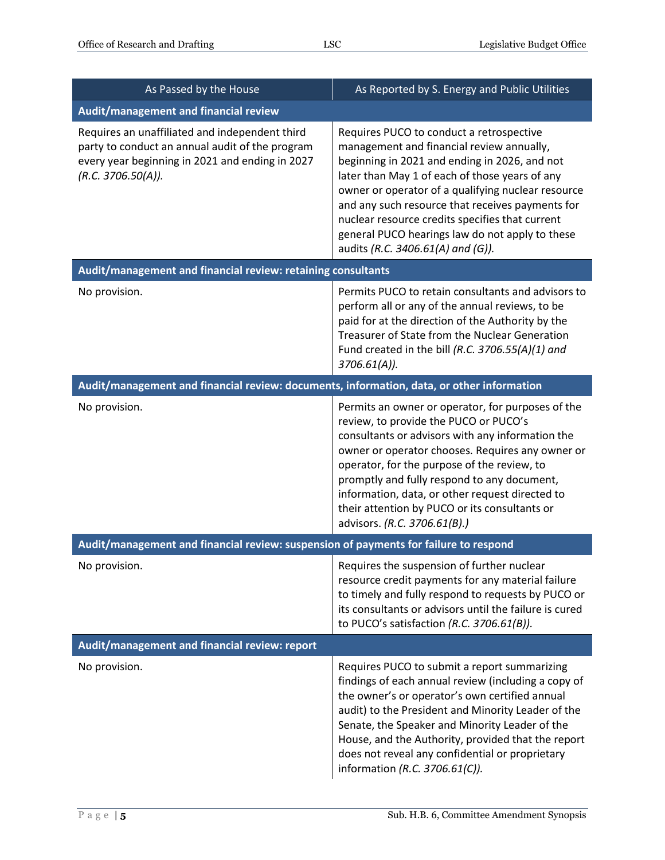| As Passed by the House                                                                                                                                                     | As Reported by S. Energy and Public Utilities                                                                                                                                                                                                                                                                                                                                                                                                 |
|----------------------------------------------------------------------------------------------------------------------------------------------------------------------------|-----------------------------------------------------------------------------------------------------------------------------------------------------------------------------------------------------------------------------------------------------------------------------------------------------------------------------------------------------------------------------------------------------------------------------------------------|
| Audit/management and financial review                                                                                                                                      |                                                                                                                                                                                                                                                                                                                                                                                                                                               |
| Requires an unaffiliated and independent third<br>party to conduct an annual audit of the program<br>every year beginning in 2021 and ending in 2027<br>(R.C. 3706.50(A)). | Requires PUCO to conduct a retrospective<br>management and financial review annually,<br>beginning in 2021 and ending in 2026, and not<br>later than May 1 of each of those years of any<br>owner or operator of a qualifying nuclear resource<br>and any such resource that receives payments for<br>nuclear resource credits specifies that current<br>general PUCO hearings law do not apply to these<br>audits (R.C. 3406.61(A) and (G)). |
| Audit/management and financial review: retaining consultants                                                                                                               |                                                                                                                                                                                                                                                                                                                                                                                                                                               |
| No provision.                                                                                                                                                              | Permits PUCO to retain consultants and advisors to<br>perform all or any of the annual reviews, to be<br>paid for at the direction of the Authority by the<br>Treasurer of State from the Nuclear Generation<br>Fund created in the bill (R.C. 3706.55(A)(1) and<br>$3706.61(A)$ ).                                                                                                                                                           |
| Audit/management and financial review: documents, information, data, or other information                                                                                  |                                                                                                                                                                                                                                                                                                                                                                                                                                               |
| No provision.                                                                                                                                                              | Permits an owner or operator, for purposes of the<br>review, to provide the PUCO or PUCO's<br>consultants or advisors with any information the<br>owner or operator chooses. Requires any owner or<br>operator, for the purpose of the review, to<br>promptly and fully respond to any document,<br>information, data, or other request directed to<br>their attention by PUCO or its consultants or<br>advisors. (R.C. 3706.61(B).)          |
| Audit/management and financial review: suspension of payments for failure to respond                                                                                       |                                                                                                                                                                                                                                                                                                                                                                                                                                               |
| No provision.                                                                                                                                                              | Requires the suspension of further nuclear<br>resource credit payments for any material failure<br>to timely and fully respond to requests by PUCO or<br>its consultants or advisors until the failure is cured<br>to PUCO's satisfaction (R.C. 3706.61(B)).                                                                                                                                                                                  |
| Audit/management and financial review: report                                                                                                                              |                                                                                                                                                                                                                                                                                                                                                                                                                                               |
| No provision.                                                                                                                                                              | Requires PUCO to submit a report summarizing<br>findings of each annual review (including a copy of<br>the owner's or operator's own certified annual<br>audit) to the President and Minority Leader of the<br>Senate, the Speaker and Minority Leader of the<br>House, and the Authority, provided that the report<br>does not reveal any confidential or proprietary<br>information (R.C. 3706.61(C)).                                      |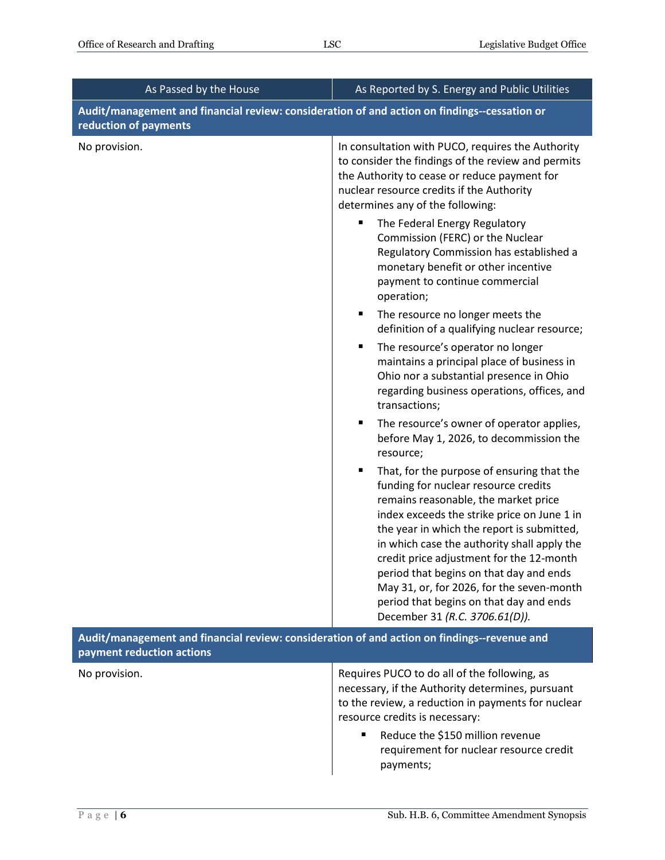| As Passed by the House                                                                                                   | As Reported by S. Energy and Public Utilities                                                                                                                                                                                                                                                                                                                                                                                                                                                |
|--------------------------------------------------------------------------------------------------------------------------|----------------------------------------------------------------------------------------------------------------------------------------------------------------------------------------------------------------------------------------------------------------------------------------------------------------------------------------------------------------------------------------------------------------------------------------------------------------------------------------------|
| Audit/management and financial review: consideration of and action on findings--cessation or<br>reduction of payments    |                                                                                                                                                                                                                                                                                                                                                                                                                                                                                              |
| No provision.                                                                                                            | In consultation with PUCO, requires the Authority<br>to consider the findings of the review and permits<br>the Authority to cease or reduce payment for<br>nuclear resource credits if the Authority<br>determines any of the following:                                                                                                                                                                                                                                                     |
|                                                                                                                          | The Federal Energy Regulatory<br>п<br>Commission (FERC) or the Nuclear<br>Regulatory Commission has established a<br>monetary benefit or other incentive<br>payment to continue commercial<br>operation;                                                                                                                                                                                                                                                                                     |
|                                                                                                                          | ш<br>The resource no longer meets the<br>definition of a qualifying nuclear resource;                                                                                                                                                                                                                                                                                                                                                                                                        |
|                                                                                                                          | The resource's operator no longer<br>п<br>maintains a principal place of business in<br>Ohio nor a substantial presence in Ohio<br>regarding business operations, offices, and<br>transactions;                                                                                                                                                                                                                                                                                              |
|                                                                                                                          | The resource's owner of operator applies,<br>٠<br>before May 1, 2026, to decommission the<br>resource;                                                                                                                                                                                                                                                                                                                                                                                       |
|                                                                                                                          | п<br>That, for the purpose of ensuring that the<br>funding for nuclear resource credits<br>remains reasonable, the market price<br>index exceeds the strike price on June 1 in<br>the year in which the report is submitted,<br>in which case the authority shall apply the<br>credit price adjustment for the 12-month<br>period that begins on that day and ends<br>May 31, or, for 2026, for the seven-month<br>period that begins on that day and ends<br>December 31 (R.C. 3706.61(D)). |
| Audit/management and financial review: consideration of and action on findings--revenue and<br>payment reduction actions |                                                                                                                                                                                                                                                                                                                                                                                                                                                                                              |
| No provision.                                                                                                            | Requires PUCO to do all of the following, as<br>necessary, if the Authority determines, pursuant<br>to the review, a reduction in payments for nuclear<br>resource credits is necessary:                                                                                                                                                                                                                                                                                                     |
|                                                                                                                          | Reduce the \$150 million revenue<br>٠<br>requirement for nuclear resource credit<br>payments;                                                                                                                                                                                                                                                                                                                                                                                                |

 $\overline{\phantom{a}}$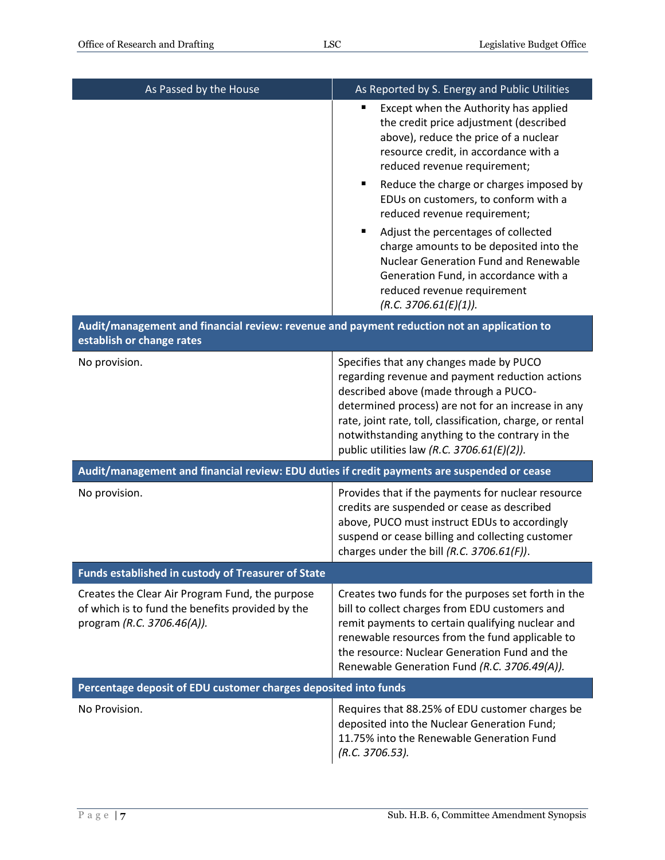| As Passed by the House                                                                                                            | As Reported by S. Energy and Public Utilities                                                                                                                                                                                                                                                                                                                                                                                                                                                                                                              |
|-----------------------------------------------------------------------------------------------------------------------------------|------------------------------------------------------------------------------------------------------------------------------------------------------------------------------------------------------------------------------------------------------------------------------------------------------------------------------------------------------------------------------------------------------------------------------------------------------------------------------------------------------------------------------------------------------------|
|                                                                                                                                   | Except when the Authority has applied<br>the credit price adjustment (described<br>above), reduce the price of a nuclear<br>resource credit, in accordance with a<br>reduced revenue requirement;<br>Reduce the charge or charges imposed by<br>٠<br>EDUs on customers, to conform with a<br>reduced revenue requirement;<br>Adjust the percentages of collected<br>٠<br>charge amounts to be deposited into the<br>Nuclear Generation Fund and Renewable<br>Generation Fund, in accordance with a<br>reduced revenue requirement<br>(R.C. 3706.61(E)(1)). |
| Audit/management and financial review: revenue and payment reduction not an application to<br>establish or change rates           |                                                                                                                                                                                                                                                                                                                                                                                                                                                                                                                                                            |
| No provision.                                                                                                                     | Specifies that any changes made by PUCO<br>regarding revenue and payment reduction actions<br>described above (made through a PUCO-<br>determined process) are not for an increase in any<br>rate, joint rate, toll, classification, charge, or rental<br>notwithstanding anything to the contrary in the<br>public utilities law (R.C. 3706.61(E)(2)).                                                                                                                                                                                                    |
| Audit/management and financial review: EDU duties if credit payments are suspended or cease                                       |                                                                                                                                                                                                                                                                                                                                                                                                                                                                                                                                                            |
| No provision.                                                                                                                     | Provides that if the payments for nuclear resource<br>credits are suspended or cease as described<br>above, PUCO must instruct EDUs to accordingly<br>suspend or cease billing and collecting customer<br>charges under the bill (R.C. 3706.61(F)).                                                                                                                                                                                                                                                                                                        |
| Funds established in custody of Treasurer of State                                                                                |                                                                                                                                                                                                                                                                                                                                                                                                                                                                                                                                                            |
| Creates the Clear Air Program Fund, the purpose<br>of which is to fund the benefits provided by the<br>program (R.C. 3706.46(A)). | Creates two funds for the purposes set forth in the<br>bill to collect charges from EDU customers and<br>remit payments to certain qualifying nuclear and<br>renewable resources from the fund applicable to<br>the resource: Nuclear Generation Fund and the<br>Renewable Generation Fund (R.C. 3706.49(A)).                                                                                                                                                                                                                                              |
| Percentage deposit of EDU customer charges deposited into funds                                                                   |                                                                                                                                                                                                                                                                                                                                                                                                                                                                                                                                                            |
| No Provision.                                                                                                                     | Requires that 88.25% of EDU customer charges be<br>deposited into the Nuclear Generation Fund;<br>11.75% into the Renewable Generation Fund<br>(R.C. 3706.53).                                                                                                                                                                                                                                                                                                                                                                                             |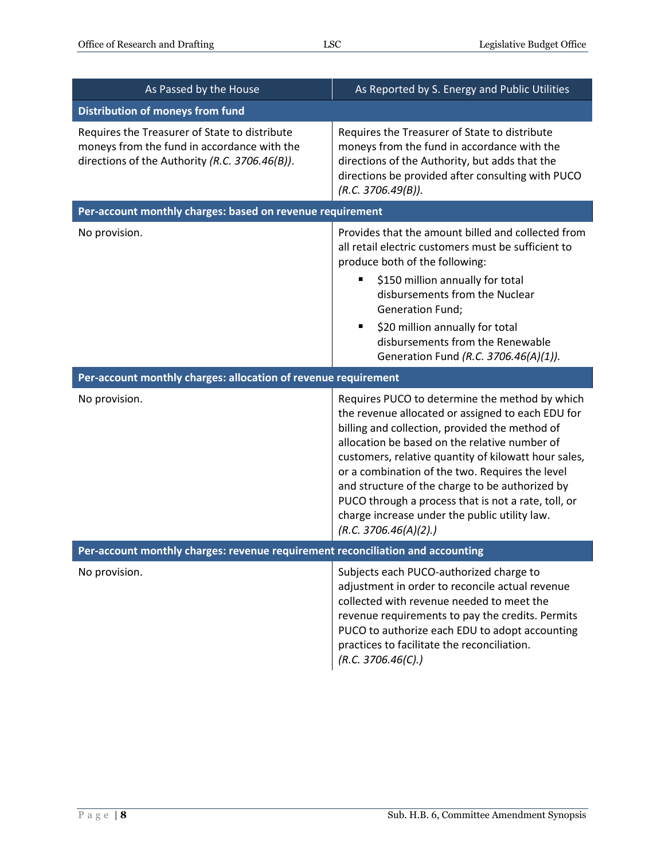| As Passed by the House                                                                                                                         | As Reported by S. Energy and Public Utilities                                                                                                                                                                                                                                                                                                                                                                                                                                                         |
|------------------------------------------------------------------------------------------------------------------------------------------------|-------------------------------------------------------------------------------------------------------------------------------------------------------------------------------------------------------------------------------------------------------------------------------------------------------------------------------------------------------------------------------------------------------------------------------------------------------------------------------------------------------|
| <b>Distribution of moneys from fund</b>                                                                                                        |                                                                                                                                                                                                                                                                                                                                                                                                                                                                                                       |
| Requires the Treasurer of State to distribute<br>moneys from the fund in accordance with the<br>directions of the Authority (R.C. 3706.46(B)). | Requires the Treasurer of State to distribute<br>moneys from the fund in accordance with the<br>directions of the Authority, but adds that the<br>directions be provided after consulting with PUCO<br>(R.C. 3706.49(B)).                                                                                                                                                                                                                                                                             |
| Per-account monthly charges: based on revenue requirement                                                                                      |                                                                                                                                                                                                                                                                                                                                                                                                                                                                                                       |
| No provision.                                                                                                                                  | Provides that the amount billed and collected from<br>all retail electric customers must be sufficient to<br>produce both of the following:<br>\$150 million annually for total<br>ш<br>disbursements from the Nuclear<br>Generation Fund;<br>\$20 million annually for total<br>disbursements from the Renewable<br>Generation Fund (R.C. 3706.46(A)(1)).                                                                                                                                            |
| Per-account monthly charges: allocation of revenue requirement                                                                                 |                                                                                                                                                                                                                                                                                                                                                                                                                                                                                                       |
| No provision.                                                                                                                                  | Requires PUCO to determine the method by which<br>the revenue allocated or assigned to each EDU for<br>billing and collection, provided the method of<br>allocation be based on the relative number of<br>customers, relative quantity of kilowatt hour sales,<br>or a combination of the two. Requires the level<br>and structure of the charge to be authorized by<br>PUCO through a process that is not a rate, toll, or<br>charge increase under the public utility law.<br>(R.C. 3706.46(A)(2).) |
| Per-account monthly charges: revenue requirement reconciliation and accounting                                                                 |                                                                                                                                                                                                                                                                                                                                                                                                                                                                                                       |
| No provision.                                                                                                                                  | Subjects each PUCO-authorized charge to<br>adjustment in order to reconcile actual revenue<br>collected with revenue needed to meet the<br>revenue requirements to pay the credits. Permits<br>PUCO to authorize each EDU to adopt accounting<br>practices to facilitate the reconciliation.<br>(R.C. 3706.46(C).)                                                                                                                                                                                    |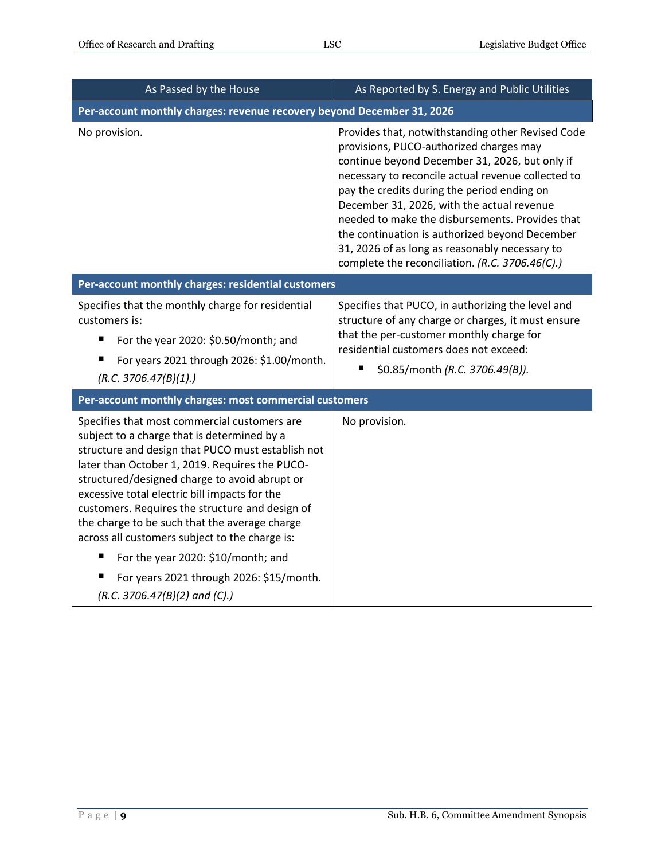| As Passed by the House                                                                                                                                                                                                                                                                                                                                                                                                                                     | As Reported by S. Energy and Public Utilities                                                                                                                                                                                                                                                                                                                                                                                                                                                               |  |
|------------------------------------------------------------------------------------------------------------------------------------------------------------------------------------------------------------------------------------------------------------------------------------------------------------------------------------------------------------------------------------------------------------------------------------------------------------|-------------------------------------------------------------------------------------------------------------------------------------------------------------------------------------------------------------------------------------------------------------------------------------------------------------------------------------------------------------------------------------------------------------------------------------------------------------------------------------------------------------|--|
| Per-account monthly charges: revenue recovery beyond December 31, 2026                                                                                                                                                                                                                                                                                                                                                                                     |                                                                                                                                                                                                                                                                                                                                                                                                                                                                                                             |  |
| No provision.                                                                                                                                                                                                                                                                                                                                                                                                                                              | Provides that, notwithstanding other Revised Code<br>provisions, PUCO-authorized charges may<br>continue beyond December 31, 2026, but only if<br>necessary to reconcile actual revenue collected to<br>pay the credits during the period ending on<br>December 31, 2026, with the actual revenue<br>needed to make the disbursements. Provides that<br>the continuation is authorized beyond December<br>31, 2026 of as long as reasonably necessary to<br>complete the reconciliation. (R.C. 3706.46(C).) |  |
| Per-account monthly charges: residential customers                                                                                                                                                                                                                                                                                                                                                                                                         |                                                                                                                                                                                                                                                                                                                                                                                                                                                                                                             |  |
| Specifies that the monthly charge for residential<br>customers is:<br>п<br>For the year 2020: \$0.50/month; and<br>For years 2021 through 2026: \$1.00/month.<br>(R.C. 3706.47(B)(1).)                                                                                                                                                                                                                                                                     | Specifies that PUCO, in authorizing the level and<br>structure of any charge or charges, it must ensure<br>that the per-customer monthly charge for<br>residential customers does not exceed:<br>\$0.85/month (R.C. 3706.49(B)).                                                                                                                                                                                                                                                                            |  |
| Per-account monthly charges: most commercial customers                                                                                                                                                                                                                                                                                                                                                                                                     |                                                                                                                                                                                                                                                                                                                                                                                                                                                                                                             |  |
| Specifies that most commercial customers are<br>subject to a charge that is determined by a<br>structure and design that PUCO must establish not<br>later than October 1, 2019. Requires the PUCO-<br>structured/designed charge to avoid abrupt or<br>excessive total electric bill impacts for the<br>customers. Requires the structure and design of<br>the charge to be such that the average charge<br>across all customers subject to the charge is: | No provision.                                                                                                                                                                                                                                                                                                                                                                                                                                                                                               |  |
| For the year 2020: \$10/month; and<br>п                                                                                                                                                                                                                                                                                                                                                                                                                    |                                                                                                                                                                                                                                                                                                                                                                                                                                                                                                             |  |
| For years 2021 through 2026: \$15/month.<br>ш<br>(R.C. 3706.47(B)(2) and (C).)                                                                                                                                                                                                                                                                                                                                                                             |                                                                                                                                                                                                                                                                                                                                                                                                                                                                                                             |  |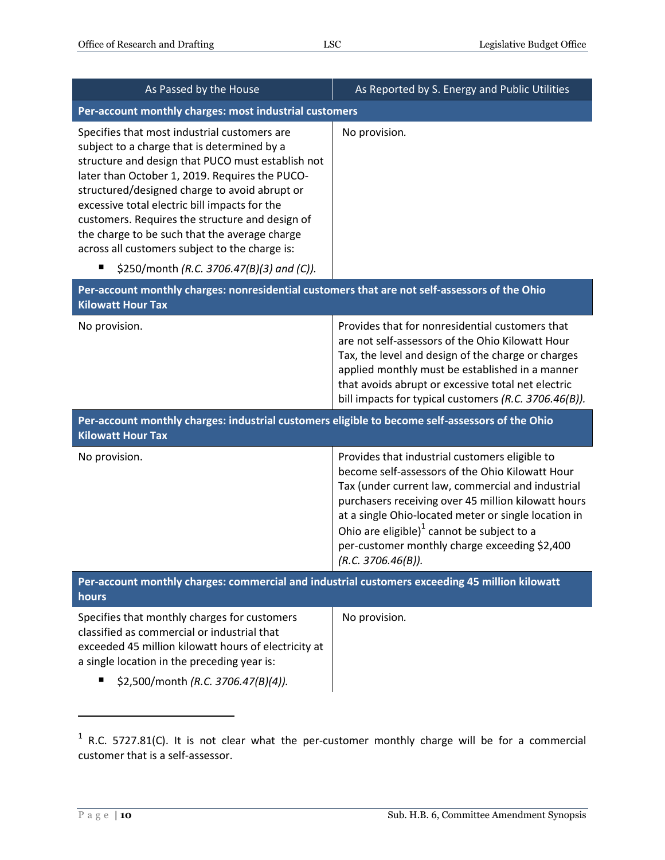| As Passed by the House                                                                                                                                                                                                                                                                                                                                                                                                                                                                                  | As Reported by S. Energy and Public Utilities                                                                                                                                                                                                                                                                                                                                                 |
|---------------------------------------------------------------------------------------------------------------------------------------------------------------------------------------------------------------------------------------------------------------------------------------------------------------------------------------------------------------------------------------------------------------------------------------------------------------------------------------------------------|-----------------------------------------------------------------------------------------------------------------------------------------------------------------------------------------------------------------------------------------------------------------------------------------------------------------------------------------------------------------------------------------------|
| Per-account monthly charges: most industrial customers                                                                                                                                                                                                                                                                                                                                                                                                                                                  |                                                                                                                                                                                                                                                                                                                                                                                               |
| Specifies that most industrial customers are<br>subject to a charge that is determined by a<br>structure and design that PUCO must establish not<br>later than October 1, 2019. Requires the PUCO-<br>structured/designed charge to avoid abrupt or<br>excessive total electric bill impacts for the<br>customers. Requires the structure and design of<br>the charge to be such that the average charge<br>across all customers subject to the charge is:<br>\$250/month (R.C. 3706.47(B)(3) and (C)). | No provision.                                                                                                                                                                                                                                                                                                                                                                                 |
| Per-account monthly charges: nonresidential customers that are not self-assessors of the Ohio<br><b>Kilowatt Hour Tax</b>                                                                                                                                                                                                                                                                                                                                                                               |                                                                                                                                                                                                                                                                                                                                                                                               |
| No provision.                                                                                                                                                                                                                                                                                                                                                                                                                                                                                           | Provides that for nonresidential customers that<br>are not self-assessors of the Ohio Kilowatt Hour<br>Tax, the level and design of the charge or charges<br>applied monthly must be established in a manner<br>that avoids abrupt or excessive total net electric<br>bill impacts for typical customers (R.C. 3706.46(B)).                                                                   |
| Per-account monthly charges: industrial customers eligible to become self-assessors of the Ohio<br><b>Kilowatt Hour Tax</b>                                                                                                                                                                                                                                                                                                                                                                             |                                                                                                                                                                                                                                                                                                                                                                                               |
| No provision.                                                                                                                                                                                                                                                                                                                                                                                                                                                                                           | Provides that industrial customers eligible to<br>become self-assessors of the Ohio Kilowatt Hour<br>Tax (under current law, commercial and industrial<br>purchasers receiving over 45 million kilowatt hours<br>at a single Ohio-located meter or single location in<br>Ohio are eligible) $1$ cannot be subject to a<br>per-customer monthly charge exceeding \$2,400<br>(R.C. 3706.46(B)). |
| Per-account monthly charges: commercial and industrial customers exceeding 45 million kilowatt<br>hours                                                                                                                                                                                                                                                                                                                                                                                                 |                                                                                                                                                                                                                                                                                                                                                                                               |
| Specifies that monthly charges for customers<br>classified as commercial or industrial that<br>exceeded 45 million kilowatt hours of electricity at<br>a single location in the preceding year is:<br>\$2,500/month (R.C. 3706.47(B)(4)).                                                                                                                                                                                                                                                               | No provision.                                                                                                                                                                                                                                                                                                                                                                                 |

 $1$  R.C. 5727.81(C). It is not clear what the per-customer monthly charge will be for a commercial customer that is a self-assessor.

 $\overline{a}$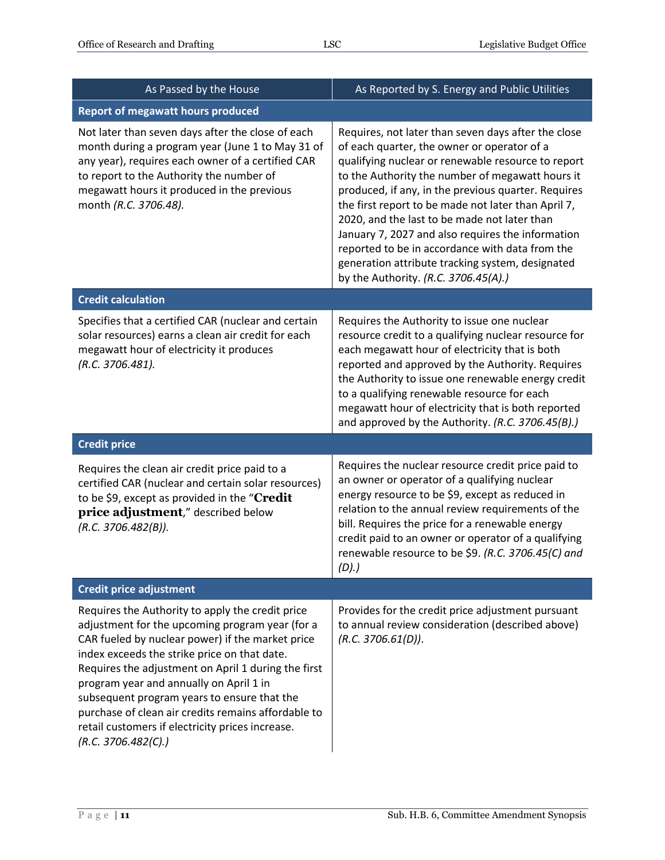| As Passed by the House                                                                                                                                                                                                                                                                                                                                                                                                                                                                     | As Reported by S. Energy and Public Utilities                                                                                                                                                                                                                                                                                                                                                                                                                                                                                                                                  |
|--------------------------------------------------------------------------------------------------------------------------------------------------------------------------------------------------------------------------------------------------------------------------------------------------------------------------------------------------------------------------------------------------------------------------------------------------------------------------------------------|--------------------------------------------------------------------------------------------------------------------------------------------------------------------------------------------------------------------------------------------------------------------------------------------------------------------------------------------------------------------------------------------------------------------------------------------------------------------------------------------------------------------------------------------------------------------------------|
| <b>Report of megawatt hours produced</b>                                                                                                                                                                                                                                                                                                                                                                                                                                                   |                                                                                                                                                                                                                                                                                                                                                                                                                                                                                                                                                                                |
| Not later than seven days after the close of each<br>month during a program year (June 1 to May 31 of<br>any year), requires each owner of a certified CAR<br>to report to the Authority the number of<br>megawatt hours it produced in the previous<br>month (R.C. 3706.48).                                                                                                                                                                                                              | Requires, not later than seven days after the close<br>of each quarter, the owner or operator of a<br>qualifying nuclear or renewable resource to report<br>to the Authority the number of megawatt hours it<br>produced, if any, in the previous quarter. Requires<br>the first report to be made not later than April 7,<br>2020, and the last to be made not later than<br>January 7, 2027 and also requires the information<br>reported to be in accordance with data from the<br>generation attribute tracking system, designated<br>by the Authority. (R.C. 3706.45(A).) |
| <b>Credit calculation</b>                                                                                                                                                                                                                                                                                                                                                                                                                                                                  |                                                                                                                                                                                                                                                                                                                                                                                                                                                                                                                                                                                |
| Specifies that a certified CAR (nuclear and certain<br>solar resources) earns a clean air credit for each<br>megawatt hour of electricity it produces<br>(R.C. 3706.481).                                                                                                                                                                                                                                                                                                                  | Requires the Authority to issue one nuclear<br>resource credit to a qualifying nuclear resource for<br>each megawatt hour of electricity that is both<br>reported and approved by the Authority. Requires<br>the Authority to issue one renewable energy credit<br>to a qualifying renewable resource for each<br>megawatt hour of electricity that is both reported<br>and approved by the Authority. (R.C. 3706.45(B).)                                                                                                                                                      |
| <b>Credit price</b>                                                                                                                                                                                                                                                                                                                                                                                                                                                                        |                                                                                                                                                                                                                                                                                                                                                                                                                                                                                                                                                                                |
| Requires the clean air credit price paid to a<br>certified CAR (nuclear and certain solar resources)<br>to be \$9, except as provided in the "Credit<br>price adjustment," described below<br>(R.C. 3706.482(B)).                                                                                                                                                                                                                                                                          | Requires the nuclear resource credit price paid to<br>an owner or operator of a qualifying nuclear<br>energy resource to be \$9, except as reduced in<br>relation to the annual review requirements of the<br>bill. Requires the price for a renewable energy<br>credit paid to an owner or operator of a qualifying<br>renewable resource to be \$9. (R.C. 3706.45(C) and<br>(D).)                                                                                                                                                                                            |
| <b>Credit price adjustment</b>                                                                                                                                                                                                                                                                                                                                                                                                                                                             |                                                                                                                                                                                                                                                                                                                                                                                                                                                                                                                                                                                |
| Requires the Authority to apply the credit price<br>adjustment for the upcoming program year (for a<br>CAR fueled by nuclear power) if the market price<br>index exceeds the strike price on that date.<br>Requires the adjustment on April 1 during the first<br>program year and annually on April 1 in<br>subsequent program years to ensure that the<br>purchase of clean air credits remains affordable to<br>retail customers if electricity prices increase.<br>(R.C. 3706.482(C).) | Provides for the credit price adjustment pursuant<br>to annual review consideration (described above)<br>(R.C. 3706.61(D)).                                                                                                                                                                                                                                                                                                                                                                                                                                                    |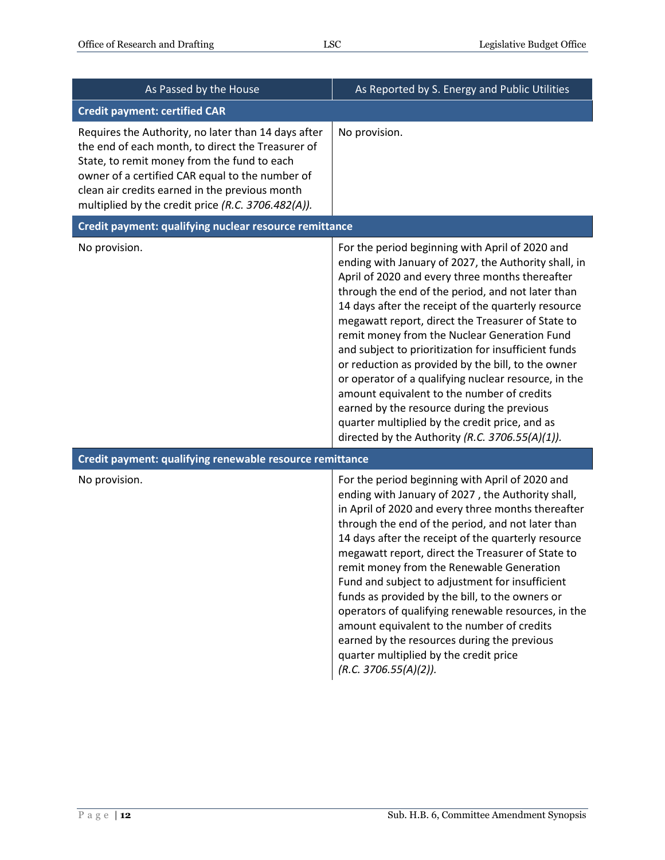| As Passed by the House                                                                                                                                                                                                                                                                                             | As Reported by S. Energy and Public Utilities                                                                                                                                                                                                                                                                                                                                                                                                                                                                                                                                                                                                                                                                                                      |
|--------------------------------------------------------------------------------------------------------------------------------------------------------------------------------------------------------------------------------------------------------------------------------------------------------------------|----------------------------------------------------------------------------------------------------------------------------------------------------------------------------------------------------------------------------------------------------------------------------------------------------------------------------------------------------------------------------------------------------------------------------------------------------------------------------------------------------------------------------------------------------------------------------------------------------------------------------------------------------------------------------------------------------------------------------------------------------|
| <b>Credit payment: certified CAR</b>                                                                                                                                                                                                                                                                               |                                                                                                                                                                                                                                                                                                                                                                                                                                                                                                                                                                                                                                                                                                                                                    |
| Requires the Authority, no later than 14 days after<br>the end of each month, to direct the Treasurer of<br>State, to remit money from the fund to each<br>owner of a certified CAR equal to the number of<br>clean air credits earned in the previous month<br>multiplied by the credit price (R.C. 3706.482(A)). | No provision.                                                                                                                                                                                                                                                                                                                                                                                                                                                                                                                                                                                                                                                                                                                                      |
| Credit payment: qualifying nuclear resource remittance                                                                                                                                                                                                                                                             |                                                                                                                                                                                                                                                                                                                                                                                                                                                                                                                                                                                                                                                                                                                                                    |
| No provision.                                                                                                                                                                                                                                                                                                      | For the period beginning with April of 2020 and<br>ending with January of 2027, the Authority shall, in<br>April of 2020 and every three months thereafter<br>through the end of the period, and not later than<br>14 days after the receipt of the quarterly resource<br>megawatt report, direct the Treasurer of State to<br>remit money from the Nuclear Generation Fund<br>and subject to prioritization for insufficient funds<br>or reduction as provided by the bill, to the owner<br>or operator of a qualifying nuclear resource, in the<br>amount equivalent to the number of credits<br>earned by the resource during the previous<br>quarter multiplied by the credit price, and as<br>directed by the Authority (R.C. 3706.55(A)(1)). |
| Credit payment: qualifying renewable resource remittance                                                                                                                                                                                                                                                           |                                                                                                                                                                                                                                                                                                                                                                                                                                                                                                                                                                                                                                                                                                                                                    |
| No provision.                                                                                                                                                                                                                                                                                                      | For the period beginning with April of 2020 and<br>ending with January of 2027, the Authority shall,<br>in April of 2020 and every three months thereafter<br>through the end of the period, and not later than<br>14 days after the receipt of the quarterly resource<br>megawatt report, direct the Treasurer of State to<br>remit money from the Renewable Generation<br>Fund and subject to adjustment for insufficient<br>funds as provided by the bill, to the owners or<br>operators of qualifying renewable resources, in the<br>amount equivalent to the number of credits<br>earned by the resources during the previous<br>quarter multiplied by the credit price<br>(R.C. 3706.55(A)(2)).                                              |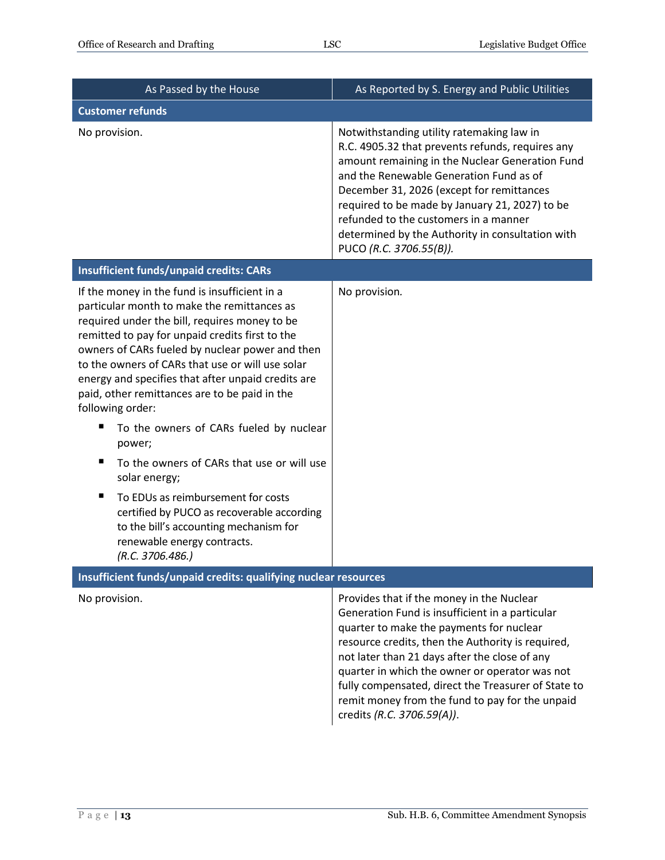| As Passed by the House                                                                                                                                                                                                                                                                                                                                                                                                                                                                                                                                                                                                                                                                                                                            | As Reported by S. Energy and Public Utilities                                                                                                                                                                                                                                                                                                                                                                                            |
|---------------------------------------------------------------------------------------------------------------------------------------------------------------------------------------------------------------------------------------------------------------------------------------------------------------------------------------------------------------------------------------------------------------------------------------------------------------------------------------------------------------------------------------------------------------------------------------------------------------------------------------------------------------------------------------------------------------------------------------------------|------------------------------------------------------------------------------------------------------------------------------------------------------------------------------------------------------------------------------------------------------------------------------------------------------------------------------------------------------------------------------------------------------------------------------------------|
| <b>Customer refunds</b>                                                                                                                                                                                                                                                                                                                                                                                                                                                                                                                                                                                                                                                                                                                           |                                                                                                                                                                                                                                                                                                                                                                                                                                          |
| No provision.                                                                                                                                                                                                                                                                                                                                                                                                                                                                                                                                                                                                                                                                                                                                     | Notwithstanding utility ratemaking law in<br>R.C. 4905.32 that prevents refunds, requires any<br>amount remaining in the Nuclear Generation Fund<br>and the Renewable Generation Fund as of<br>December 31, 2026 (except for remittances<br>required to be made by January 21, 2027) to be<br>refunded to the customers in a manner<br>determined by the Authority in consultation with<br>PUCO (R.C. 3706.55(B)).                       |
| <b>Insufficient funds/unpaid credits: CARs</b>                                                                                                                                                                                                                                                                                                                                                                                                                                                                                                                                                                                                                                                                                                    |                                                                                                                                                                                                                                                                                                                                                                                                                                          |
| If the money in the fund is insufficient in a<br>particular month to make the remittances as<br>required under the bill, requires money to be<br>remitted to pay for unpaid credits first to the<br>owners of CARs fueled by nuclear power and then<br>to the owners of CARs that use or will use solar<br>energy and specifies that after unpaid credits are<br>paid, other remittances are to be paid in the<br>following order:<br>п<br>To the owners of CARs fueled by nuclear<br>power;<br>To the owners of CARs that use or will use<br>solar energy;<br>To EDUs as reimbursement for costs<br>п<br>certified by PUCO as recoverable according<br>to the bill's accounting mechanism for<br>renewable energy contracts.<br>(R.C. 3706.486.) | No provision.                                                                                                                                                                                                                                                                                                                                                                                                                            |
| Insufficient funds/unpaid credits: qualifying nuclear resources                                                                                                                                                                                                                                                                                                                                                                                                                                                                                                                                                                                                                                                                                   |                                                                                                                                                                                                                                                                                                                                                                                                                                          |
| No provision.                                                                                                                                                                                                                                                                                                                                                                                                                                                                                                                                                                                                                                                                                                                                     | Provides that if the money in the Nuclear<br>Generation Fund is insufficient in a particular<br>quarter to make the payments for nuclear<br>resource credits, then the Authority is required,<br>not later than 21 days after the close of any<br>quarter in which the owner or operator was not<br>fully compensated, direct the Treasurer of State to<br>remit money from the fund to pay for the unpaid<br>credits (R.C. 3706.59(A)). |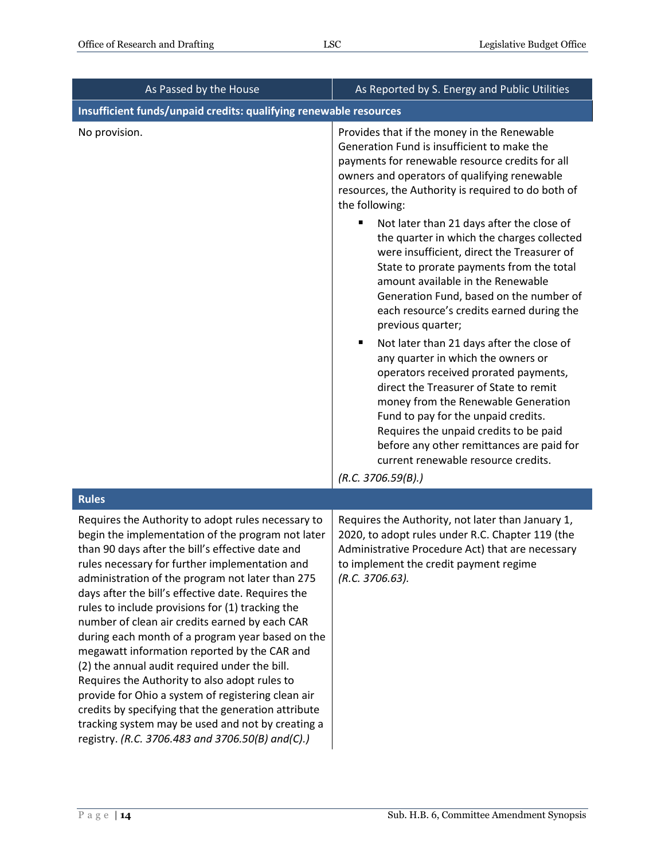| As Passed by the House                                                                                                                                                                                                                                                                                                                                                                                                                                                                                                                                                                                                                                                                                                                                                                                                                                    | As Reported by S. Energy and Public Utilities                                                                                                                                                                                                                                                                                                                                                                                                                                                                                                                                                                                                                                                                                                                                                                                                                                                                                                                                                                                  |
|-----------------------------------------------------------------------------------------------------------------------------------------------------------------------------------------------------------------------------------------------------------------------------------------------------------------------------------------------------------------------------------------------------------------------------------------------------------------------------------------------------------------------------------------------------------------------------------------------------------------------------------------------------------------------------------------------------------------------------------------------------------------------------------------------------------------------------------------------------------|--------------------------------------------------------------------------------------------------------------------------------------------------------------------------------------------------------------------------------------------------------------------------------------------------------------------------------------------------------------------------------------------------------------------------------------------------------------------------------------------------------------------------------------------------------------------------------------------------------------------------------------------------------------------------------------------------------------------------------------------------------------------------------------------------------------------------------------------------------------------------------------------------------------------------------------------------------------------------------------------------------------------------------|
| Insufficient funds/unpaid credits: qualifying renewable resources                                                                                                                                                                                                                                                                                                                                                                                                                                                                                                                                                                                                                                                                                                                                                                                         |                                                                                                                                                                                                                                                                                                                                                                                                                                                                                                                                                                                                                                                                                                                                                                                                                                                                                                                                                                                                                                |
| No provision.                                                                                                                                                                                                                                                                                                                                                                                                                                                                                                                                                                                                                                                                                                                                                                                                                                             | Provides that if the money in the Renewable<br>Generation Fund is insufficient to make the<br>payments for renewable resource credits for all<br>owners and operators of qualifying renewable<br>resources, the Authority is required to do both of<br>the following:<br>Not later than 21 days after the close of<br>п<br>the quarter in which the charges collected<br>were insufficient, direct the Treasurer of<br>State to prorate payments from the total<br>amount available in the Renewable<br>Generation Fund, based on the number of<br>each resource's credits earned during the<br>previous quarter;<br>Not later than 21 days after the close of<br>٠<br>any quarter in which the owners or<br>operators received prorated payments,<br>direct the Treasurer of State to remit<br>money from the Renewable Generation<br>Fund to pay for the unpaid credits.<br>Requires the unpaid credits to be paid<br>before any other remittances are paid for<br>current renewable resource credits.<br>(R.C. 3706.59(B).) |
| <b>Rules</b>                                                                                                                                                                                                                                                                                                                                                                                                                                                                                                                                                                                                                                                                                                                                                                                                                                              |                                                                                                                                                                                                                                                                                                                                                                                                                                                                                                                                                                                                                                                                                                                                                                                                                                                                                                                                                                                                                                |
| Requires the Authority to adopt rules necessary to<br>begin the implementation of the program not later<br>than 90 days after the bill's effective date and<br>rules necessary for further implementation and<br>administration of the program not later than 275<br>days after the bill's effective date. Requires the<br>rules to include provisions for (1) tracking the<br>number of clean air credits earned by each CAR<br>during each month of a program year based on the<br>megawatt information reported by the CAR and<br>(2) the annual audit required under the bill.<br>Requires the Authority to also adopt rules to<br>provide for Ohio a system of registering clean air<br>credits by specifying that the generation attribute<br>tracking system may be used and not by creating a<br>registry. (R.C. 3706.483 and 3706.50(B) and(C).) | Requires the Authority, not later than January 1,<br>2020, to adopt rules under R.C. Chapter 119 (the<br>Administrative Procedure Act) that are necessary<br>to implement the credit payment regime<br>$(R.C. 3706.63)$ .                                                                                                                                                                                                                                                                                                                                                                                                                                                                                                                                                                                                                                                                                                                                                                                                      |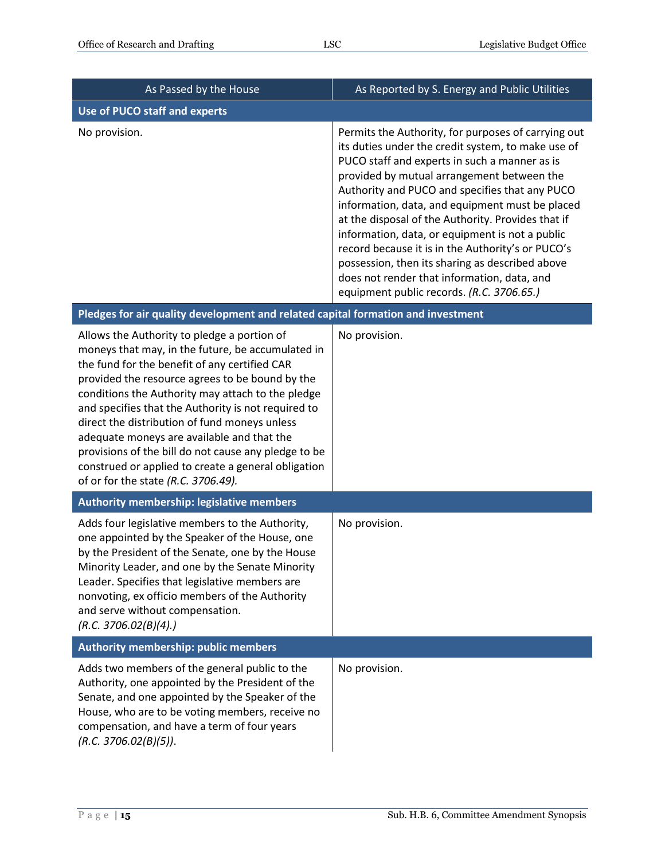| As Passed by the House                                                                                                                                                                                                                                                                                                                                                                                                                                                                                                                                                | As Reported by S. Energy and Public Utilities                                                                                                                                                                                                                                                                                                                                                                                                                                                                                                                                                                              |
|-----------------------------------------------------------------------------------------------------------------------------------------------------------------------------------------------------------------------------------------------------------------------------------------------------------------------------------------------------------------------------------------------------------------------------------------------------------------------------------------------------------------------------------------------------------------------|----------------------------------------------------------------------------------------------------------------------------------------------------------------------------------------------------------------------------------------------------------------------------------------------------------------------------------------------------------------------------------------------------------------------------------------------------------------------------------------------------------------------------------------------------------------------------------------------------------------------------|
| <b>Use of PUCO staff and experts</b>                                                                                                                                                                                                                                                                                                                                                                                                                                                                                                                                  |                                                                                                                                                                                                                                                                                                                                                                                                                                                                                                                                                                                                                            |
| No provision.                                                                                                                                                                                                                                                                                                                                                                                                                                                                                                                                                         | Permits the Authority, for purposes of carrying out<br>its duties under the credit system, to make use of<br>PUCO staff and experts in such a manner as is<br>provided by mutual arrangement between the<br>Authority and PUCO and specifies that any PUCO<br>information, data, and equipment must be placed<br>at the disposal of the Authority. Provides that if<br>information, data, or equipment is not a public<br>record because it is in the Authority's or PUCO's<br>possession, then its sharing as described above<br>does not render that information, data, and<br>equipment public records. (R.C. 3706.65.) |
| Pledges for air quality development and related capital formation and investment                                                                                                                                                                                                                                                                                                                                                                                                                                                                                      |                                                                                                                                                                                                                                                                                                                                                                                                                                                                                                                                                                                                                            |
| Allows the Authority to pledge a portion of<br>moneys that may, in the future, be accumulated in<br>the fund for the benefit of any certified CAR<br>provided the resource agrees to be bound by the<br>conditions the Authority may attach to the pledge<br>and specifies that the Authority is not required to<br>direct the distribution of fund moneys unless<br>adequate moneys are available and that the<br>provisions of the bill do not cause any pledge to be<br>construed or applied to create a general obligation<br>of or for the state (R.C. 3706.49). | No provision.                                                                                                                                                                                                                                                                                                                                                                                                                                                                                                                                                                                                              |
| Authority membership: legislative members                                                                                                                                                                                                                                                                                                                                                                                                                                                                                                                             |                                                                                                                                                                                                                                                                                                                                                                                                                                                                                                                                                                                                                            |
| Adds four legislative members to the Authority,<br>one appointed by the Speaker of the House, one<br>by the President of the Senate, one by the House<br>Minority Leader, and one by the Senate Minority<br>Leader. Specifies that legislative members are<br>nonvoting, ex officio members of the Authority<br>and serve without compensation.<br>(R.C. 3706.02(B)(4).)                                                                                                                                                                                              | No provision.                                                                                                                                                                                                                                                                                                                                                                                                                                                                                                                                                                                                              |
| Authority membership: public members                                                                                                                                                                                                                                                                                                                                                                                                                                                                                                                                  |                                                                                                                                                                                                                                                                                                                                                                                                                                                                                                                                                                                                                            |
| Adds two members of the general public to the<br>Authority, one appointed by the President of the<br>Senate, and one appointed by the Speaker of the<br>House, who are to be voting members, receive no<br>compensation, and have a term of four years<br>(R.C. 3706.02(B)(5)).                                                                                                                                                                                                                                                                                       | No provision.                                                                                                                                                                                                                                                                                                                                                                                                                                                                                                                                                                                                              |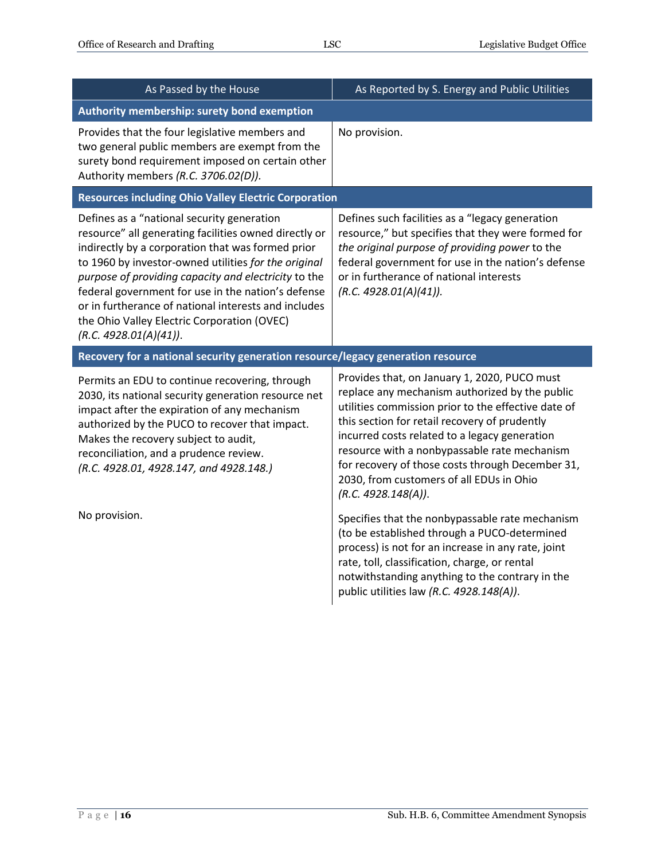| As Passed by the House                                                                                                                                                                                                                                                                                                                                                                                                                                          | As Reported by S. Energy and Public Utilities                                                                                                                                                                                                                                                                                                                                                                                  |
|-----------------------------------------------------------------------------------------------------------------------------------------------------------------------------------------------------------------------------------------------------------------------------------------------------------------------------------------------------------------------------------------------------------------------------------------------------------------|--------------------------------------------------------------------------------------------------------------------------------------------------------------------------------------------------------------------------------------------------------------------------------------------------------------------------------------------------------------------------------------------------------------------------------|
| Authority membership: surety bond exemption                                                                                                                                                                                                                                                                                                                                                                                                                     |                                                                                                                                                                                                                                                                                                                                                                                                                                |
| Provides that the four legislative members and<br>two general public members are exempt from the<br>surety bond requirement imposed on certain other<br>Authority members (R.C. 3706.02(D)).                                                                                                                                                                                                                                                                    | No provision.                                                                                                                                                                                                                                                                                                                                                                                                                  |
| <b>Resources including Ohio Valley Electric Corporation</b>                                                                                                                                                                                                                                                                                                                                                                                                     |                                                                                                                                                                                                                                                                                                                                                                                                                                |
| Defines as a "national security generation<br>resource" all generating facilities owned directly or<br>indirectly by a corporation that was formed prior<br>to 1960 by investor-owned utilities for the original<br>purpose of providing capacity and electricity to the<br>federal government for use in the nation's defense<br>or in furtherance of national interests and includes<br>the Ohio Valley Electric Corporation (OVEC)<br>(R.C. 4928.01(A)(41)). | Defines such facilities as a "legacy generation<br>resource," but specifies that they were formed for<br>the original purpose of providing power to the<br>federal government for use in the nation's defense<br>or in furtherance of national interests<br>(R.C. 4928.01(A)(41)).                                                                                                                                             |
| Recovery for a national security generation resource/legacy generation resource                                                                                                                                                                                                                                                                                                                                                                                 |                                                                                                                                                                                                                                                                                                                                                                                                                                |
| Permits an EDU to continue recovering, through<br>2030, its national security generation resource net<br>impact after the expiration of any mechanism<br>authorized by the PUCO to recover that impact.<br>Makes the recovery subject to audit,<br>reconciliation, and a prudence review.<br>(R.C. 4928.01, 4928.147, and 4928.148.)                                                                                                                            | Provides that, on January 1, 2020, PUCO must<br>replace any mechanism authorized by the public<br>utilities commission prior to the effective date of<br>this section for retail recovery of prudently<br>incurred costs related to a legacy generation<br>resource with a nonbypassable rate mechanism<br>for recovery of those costs through December 31,<br>2030, from customers of all EDUs in Ohio<br>(R.C. 4928.148(A)). |
| No provision.                                                                                                                                                                                                                                                                                                                                                                                                                                                   | Specifies that the nonbypassable rate mechanism<br>(to be established through a PUCO-determined<br>process) is not for an increase in any rate, joint<br>rate, toll, classification, charge, or rental<br>notwithstanding anything to the contrary in the<br>public utilities law (R.C. 4928.148(A)).                                                                                                                          |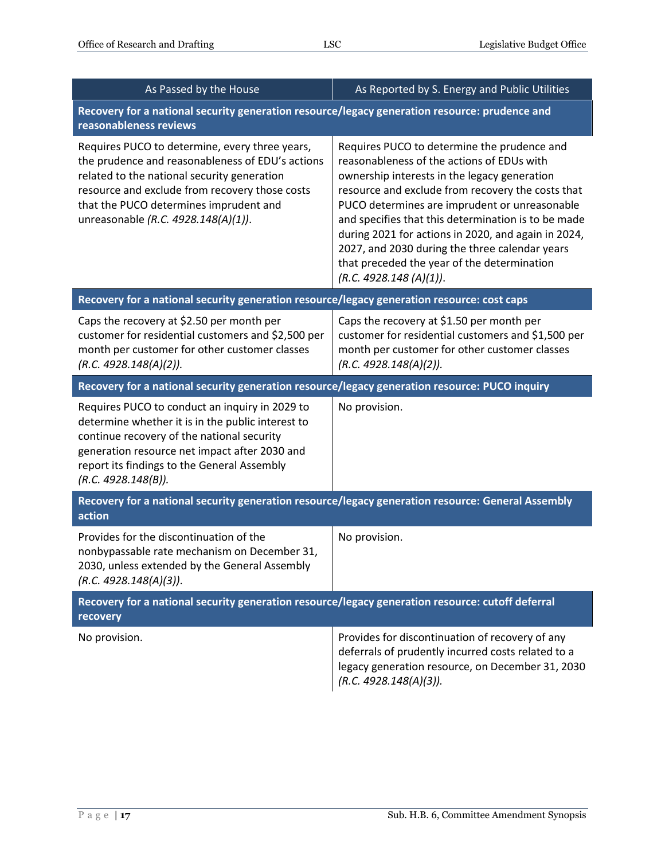| As Passed by the House                                                                                                                                                                                                                                                               | As Reported by S. Energy and Public Utilities                                                                                                                                                                                                                                                                                                                                                                                                                                             |  |
|--------------------------------------------------------------------------------------------------------------------------------------------------------------------------------------------------------------------------------------------------------------------------------------|-------------------------------------------------------------------------------------------------------------------------------------------------------------------------------------------------------------------------------------------------------------------------------------------------------------------------------------------------------------------------------------------------------------------------------------------------------------------------------------------|--|
| Recovery for a national security generation resource/legacy generation resource: prudence and<br>reasonableness reviews                                                                                                                                                              |                                                                                                                                                                                                                                                                                                                                                                                                                                                                                           |  |
| Requires PUCO to determine, every three years,<br>the prudence and reasonableness of EDU's actions<br>related to the national security generation<br>resource and exclude from recovery those costs<br>that the PUCO determines imprudent and<br>unreasonable (R.C. 4928.148(A)(1)). | Requires PUCO to determine the prudence and<br>reasonableness of the actions of EDUs with<br>ownership interests in the legacy generation<br>resource and exclude from recovery the costs that<br>PUCO determines are imprudent or unreasonable<br>and specifies that this determination is to be made<br>during 2021 for actions in 2020, and again in 2024,<br>2027, and 2030 during the three calendar years<br>that preceded the year of the determination<br>(R.C. 4928.148 (A)(1)). |  |
| Recovery for a national security generation resource/legacy generation resource: cost caps                                                                                                                                                                                           |                                                                                                                                                                                                                                                                                                                                                                                                                                                                                           |  |
| Caps the recovery at \$2.50 per month per<br>customer for residential customers and \$2,500 per<br>month per customer for other customer classes<br>(R.C. 4928.148(A)(2)).                                                                                                           | Caps the recovery at \$1.50 per month per<br>customer for residential customers and \$1,500 per<br>month per customer for other customer classes<br>(R.C. 4928.148(A)(2)).                                                                                                                                                                                                                                                                                                                |  |
| Recovery for a national security generation resource/legacy generation resource: PUCO inquiry                                                                                                                                                                                        |                                                                                                                                                                                                                                                                                                                                                                                                                                                                                           |  |
| Requires PUCO to conduct an inquiry in 2029 to<br>determine whether it is in the public interest to<br>continue recovery of the national security<br>generation resource net impact after 2030 and<br>report its findings to the General Assembly<br>(R.C. 4928.148(B)).             | No provision.                                                                                                                                                                                                                                                                                                                                                                                                                                                                             |  |
| Recovery for a national security generation resource/legacy generation resource: General Assembly<br>action                                                                                                                                                                          |                                                                                                                                                                                                                                                                                                                                                                                                                                                                                           |  |
| Provides for the discontinuation of the<br>nonbypassable rate mechanism on December 31,<br>2030, unless extended by the General Assembly<br>(R.C. 4928.148(A)(3)).                                                                                                                   | No provision.                                                                                                                                                                                                                                                                                                                                                                                                                                                                             |  |
| Recovery for a national security generation resource/legacy generation resource: cutoff deferral<br>recovery                                                                                                                                                                         |                                                                                                                                                                                                                                                                                                                                                                                                                                                                                           |  |
| No provision.                                                                                                                                                                                                                                                                        | Provides for discontinuation of recovery of any<br>deferrals of prudently incurred costs related to a<br>legacy generation resource, on December 31, 2030<br>(R.C. 4928.148(A)(3)).                                                                                                                                                                                                                                                                                                       |  |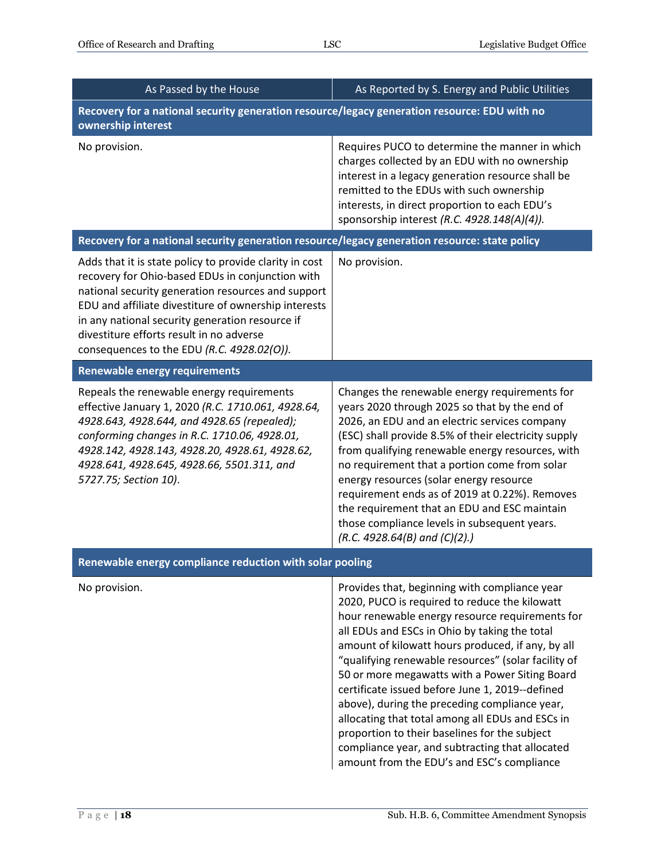| As Passed by the House                                                                                                                                                                                                                                                                                                                                                 | As Reported by S. Energy and Public Utilities                                                                                                                                                                                                                                                                                                                                                                                                                                                                                                                                                                                                                              |  |
|------------------------------------------------------------------------------------------------------------------------------------------------------------------------------------------------------------------------------------------------------------------------------------------------------------------------------------------------------------------------|----------------------------------------------------------------------------------------------------------------------------------------------------------------------------------------------------------------------------------------------------------------------------------------------------------------------------------------------------------------------------------------------------------------------------------------------------------------------------------------------------------------------------------------------------------------------------------------------------------------------------------------------------------------------------|--|
| Recovery for a national security generation resource/legacy generation resource: EDU with no<br>ownership interest                                                                                                                                                                                                                                                     |                                                                                                                                                                                                                                                                                                                                                                                                                                                                                                                                                                                                                                                                            |  |
| No provision.                                                                                                                                                                                                                                                                                                                                                          | Requires PUCO to determine the manner in which<br>charges collected by an EDU with no ownership<br>interest in a legacy generation resource shall be<br>remitted to the EDUs with such ownership<br>interests, in direct proportion to each EDU's<br>sponsorship interest (R.C. 4928.148(A)(4)).                                                                                                                                                                                                                                                                                                                                                                           |  |
| Recovery for a national security generation resource/legacy generation resource: state policy                                                                                                                                                                                                                                                                          |                                                                                                                                                                                                                                                                                                                                                                                                                                                                                                                                                                                                                                                                            |  |
| Adds that it is state policy to provide clarity in cost<br>recovery for Ohio-based EDUs in conjunction with<br>national security generation resources and support<br>EDU and affiliate divestiture of ownership interests<br>in any national security generation resource if<br>divestiture efforts result in no adverse<br>consequences to the EDU (R.C. 4928.02(O)). | No provision.                                                                                                                                                                                                                                                                                                                                                                                                                                                                                                                                                                                                                                                              |  |
| <b>Renewable energy requirements</b>                                                                                                                                                                                                                                                                                                                                   |                                                                                                                                                                                                                                                                                                                                                                                                                                                                                                                                                                                                                                                                            |  |
| Repeals the renewable energy requirements<br>effective January 1, 2020 (R.C. 1710.061, 4928.64,<br>4928.643, 4928.644, and 4928.65 (repealed);<br>conforming changes in R.C. 1710.06, 4928.01,<br>4928.142, 4928.143, 4928.20, 4928.61, 4928.62,<br>4928.641, 4928.645, 4928.66, 5501.311, and<br>5727.75; Section 10).                                                | Changes the renewable energy requirements for<br>years 2020 through 2025 so that by the end of<br>2026, an EDU and an electric services company<br>(ESC) shall provide 8.5% of their electricity supply<br>from qualifying renewable energy resources, with<br>no requirement that a portion come from solar<br>energy resources (solar energy resource<br>requirement ends as of 2019 at 0.22%). Removes<br>the requirement that an EDU and ESC maintain<br>those compliance levels in subsequent years.<br>(R.C. 4928.64(B) and $(C)(2)$ .)                                                                                                                              |  |
| Renewable energy compliance reduction with solar pooling                                                                                                                                                                                                                                                                                                               |                                                                                                                                                                                                                                                                                                                                                                                                                                                                                                                                                                                                                                                                            |  |
| No provision.                                                                                                                                                                                                                                                                                                                                                          | Provides that, beginning with compliance year<br>2020, PUCO is required to reduce the kilowatt<br>hour renewable energy resource requirements for<br>all EDUs and ESCs in Ohio by taking the total<br>amount of kilowatt hours produced, if any, by all<br>"qualifying renewable resources" (solar facility of<br>50 or more megawatts with a Power Siting Board<br>certificate issued before June 1, 2019--defined<br>above), during the preceding compliance year,<br>allocating that total among all EDUs and ESCs in<br>proportion to their baselines for the subject<br>compliance year, and subtracting that allocated<br>amount from the EDU's and ESC's compliance |  |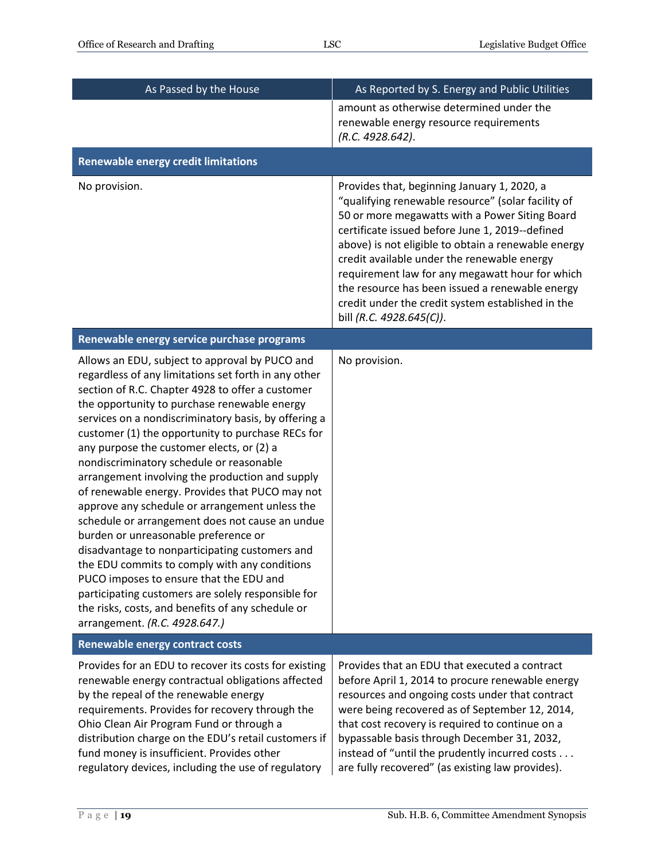| As Passed by the House                                                                                                                                                                                                                                                                                                                                                                                                                                                                                                                                                                                                                                                                                                                                                                                                                                                                                                                                        | As Reported by S. Energy and Public Utilities                                                                                                                                                                                                                                                                                                                                                                                                                                                       |
|---------------------------------------------------------------------------------------------------------------------------------------------------------------------------------------------------------------------------------------------------------------------------------------------------------------------------------------------------------------------------------------------------------------------------------------------------------------------------------------------------------------------------------------------------------------------------------------------------------------------------------------------------------------------------------------------------------------------------------------------------------------------------------------------------------------------------------------------------------------------------------------------------------------------------------------------------------------|-----------------------------------------------------------------------------------------------------------------------------------------------------------------------------------------------------------------------------------------------------------------------------------------------------------------------------------------------------------------------------------------------------------------------------------------------------------------------------------------------------|
|                                                                                                                                                                                                                                                                                                                                                                                                                                                                                                                                                                                                                                                                                                                                                                                                                                                                                                                                                               | amount as otherwise determined under the<br>renewable energy resource requirements<br>(R.C. 4928.642).                                                                                                                                                                                                                                                                                                                                                                                              |
| <b>Renewable energy credit limitations</b>                                                                                                                                                                                                                                                                                                                                                                                                                                                                                                                                                                                                                                                                                                                                                                                                                                                                                                                    |                                                                                                                                                                                                                                                                                                                                                                                                                                                                                                     |
| No provision.                                                                                                                                                                                                                                                                                                                                                                                                                                                                                                                                                                                                                                                                                                                                                                                                                                                                                                                                                 | Provides that, beginning January 1, 2020, a<br>"qualifying renewable resource" (solar facility of<br>50 or more megawatts with a Power Siting Board<br>certificate issued before June 1, 2019--defined<br>above) is not eligible to obtain a renewable energy<br>credit available under the renewable energy<br>requirement law for any megawatt hour for which<br>the resource has been issued a renewable energy<br>credit under the credit system established in the<br>bill (R.C. 4928.645(C)). |
| Renewable energy service purchase programs                                                                                                                                                                                                                                                                                                                                                                                                                                                                                                                                                                                                                                                                                                                                                                                                                                                                                                                    |                                                                                                                                                                                                                                                                                                                                                                                                                                                                                                     |
| Allows an EDU, subject to approval by PUCO and<br>regardless of any limitations set forth in any other<br>section of R.C. Chapter 4928 to offer a customer<br>the opportunity to purchase renewable energy<br>services on a nondiscriminatory basis, by offering a<br>customer (1) the opportunity to purchase RECs for<br>any purpose the customer elects, or (2) a<br>nondiscriminatory schedule or reasonable<br>arrangement involving the production and supply<br>of renewable energy. Provides that PUCO may not<br>approve any schedule or arrangement unless the<br>schedule or arrangement does not cause an undue<br>burden or unreasonable preference or<br>disadvantage to nonparticipating customers and<br>the EDU commits to comply with any conditions<br>PUCO imposes to ensure that the EDU and<br>participating customers are solely responsible for<br>the risks, costs, and benefits of any schedule or<br>arrangement. (R.C. 4928.647.) | No provision.                                                                                                                                                                                                                                                                                                                                                                                                                                                                                       |
| <b>Renewable energy contract costs</b>                                                                                                                                                                                                                                                                                                                                                                                                                                                                                                                                                                                                                                                                                                                                                                                                                                                                                                                        |                                                                                                                                                                                                                                                                                                                                                                                                                                                                                                     |
| Provides for an EDU to recover its costs for existing<br>renewable energy contractual obligations affected<br>by the repeal of the renewable energy<br>requirements. Provides for recovery through the<br>Ohio Clean Air Program Fund or through a<br>distribution charge on the EDU's retail customers if<br>fund money is insufficient. Provides other<br>regulatory devices, including the use of regulatory                                                                                                                                                                                                                                                                                                                                                                                                                                                                                                                                               | Provides that an EDU that executed a contract<br>before April 1, 2014 to procure renewable energy<br>resources and ongoing costs under that contract<br>were being recovered as of September 12, 2014,<br>that cost recovery is required to continue on a<br>bypassable basis through December 31, 2032,<br>instead of "until the prudently incurred costs<br>are fully recovered" (as existing law provides).                                                                                      |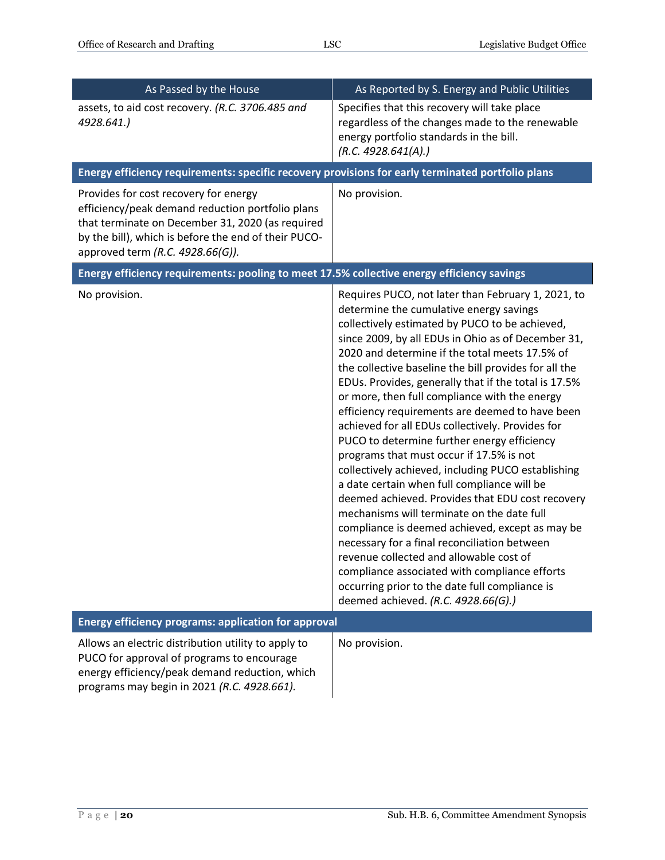| As Passed by the House                                                                                                                                                                                                                    | As Reported by S. Energy and Public Utilities                                                                                                                                                                                                                                                                                                                                                                                                                                                                                                                                                                                                                                                                                                                                                                                                                                                                                                                                                                                                                                                                              |
|-------------------------------------------------------------------------------------------------------------------------------------------------------------------------------------------------------------------------------------------|----------------------------------------------------------------------------------------------------------------------------------------------------------------------------------------------------------------------------------------------------------------------------------------------------------------------------------------------------------------------------------------------------------------------------------------------------------------------------------------------------------------------------------------------------------------------------------------------------------------------------------------------------------------------------------------------------------------------------------------------------------------------------------------------------------------------------------------------------------------------------------------------------------------------------------------------------------------------------------------------------------------------------------------------------------------------------------------------------------------------------|
| assets, to aid cost recovery. (R.C. 3706.485 and<br>4928.641.)                                                                                                                                                                            | Specifies that this recovery will take place<br>regardless of the changes made to the renewable<br>energy portfolio standards in the bill.<br>(R.C. 4928.641(A).)                                                                                                                                                                                                                                                                                                                                                                                                                                                                                                                                                                                                                                                                                                                                                                                                                                                                                                                                                          |
| Energy efficiency requirements: specific recovery provisions for early terminated portfolio plans                                                                                                                                         |                                                                                                                                                                                                                                                                                                                                                                                                                                                                                                                                                                                                                                                                                                                                                                                                                                                                                                                                                                                                                                                                                                                            |
| Provides for cost recovery for energy<br>efficiency/peak demand reduction portfolio plans<br>that terminate on December 31, 2020 (as required<br>by the bill), which is before the end of their PUCO-<br>approved term (R.C. 4928.66(G)). | No provision.                                                                                                                                                                                                                                                                                                                                                                                                                                                                                                                                                                                                                                                                                                                                                                                                                                                                                                                                                                                                                                                                                                              |
| Energy efficiency requirements: pooling to meet 17.5% collective energy efficiency savings                                                                                                                                                |                                                                                                                                                                                                                                                                                                                                                                                                                                                                                                                                                                                                                                                                                                                                                                                                                                                                                                                                                                                                                                                                                                                            |
| No provision.                                                                                                                                                                                                                             | Requires PUCO, not later than February 1, 2021, to<br>determine the cumulative energy savings<br>collectively estimated by PUCO to be achieved,<br>since 2009, by all EDUs in Ohio as of December 31,<br>2020 and determine if the total meets 17.5% of<br>the collective baseline the bill provides for all the<br>EDUs. Provides, generally that if the total is 17.5%<br>or more, then full compliance with the energy<br>efficiency requirements are deemed to have been<br>achieved for all EDUs collectively. Provides for<br>PUCO to determine further energy efficiency<br>programs that must occur if 17.5% is not<br>collectively achieved, including PUCO establishing<br>a date certain when full compliance will be<br>deemed achieved. Provides that EDU cost recovery<br>mechanisms will terminate on the date full<br>compliance is deemed achieved, except as may be<br>necessary for a final reconciliation between<br>revenue collected and allowable cost of<br>compliance associated with compliance efforts<br>occurring prior to the date full compliance is<br>deemed achieved. (R.C. 4928.66(G).) |
| <b>Energy efficiency programs: application for approval</b>                                                                                                                                                                               |                                                                                                                                                                                                                                                                                                                                                                                                                                                                                                                                                                                                                                                                                                                                                                                                                                                                                                                                                                                                                                                                                                                            |
| Allows an electric distribution utility to apply to<br>PUCO for approval of programs to encourage<br>energy efficiency/peak demand reduction, which<br>programs may begin in 2021 (R.C. 4928.661).                                        | No provision.                                                                                                                                                                                                                                                                                                                                                                                                                                                                                                                                                                                                                                                                                                                                                                                                                                                                                                                                                                                                                                                                                                              |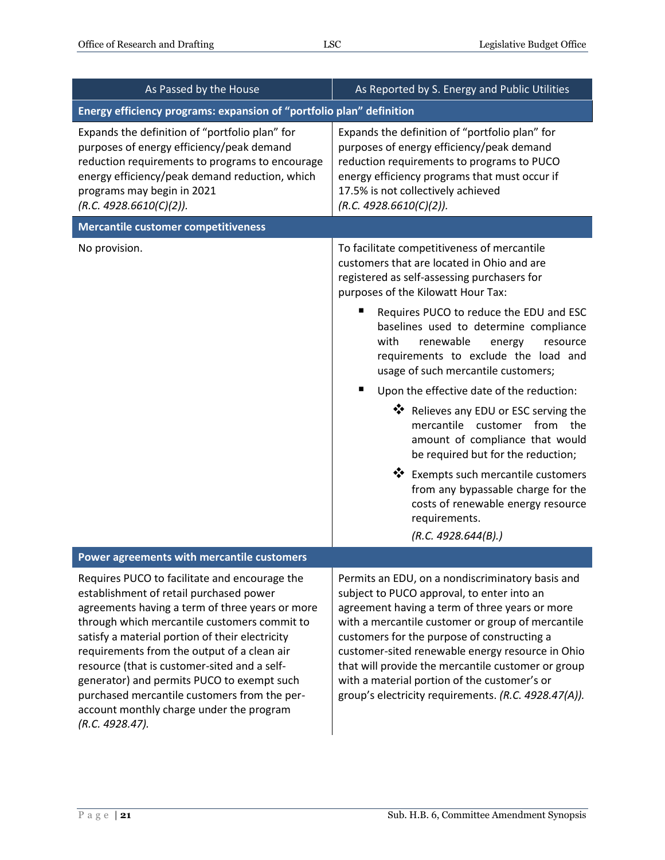| As Passed by the House                                                                                                                                                                                                                                                                                                                                                                                                                                                                                     | As Reported by S. Energy and Public Utilities                                                                                                                                                                                                                                                                                                                                                                                                                                                                                                                                                                                                                                                                                                                     |
|------------------------------------------------------------------------------------------------------------------------------------------------------------------------------------------------------------------------------------------------------------------------------------------------------------------------------------------------------------------------------------------------------------------------------------------------------------------------------------------------------------|-------------------------------------------------------------------------------------------------------------------------------------------------------------------------------------------------------------------------------------------------------------------------------------------------------------------------------------------------------------------------------------------------------------------------------------------------------------------------------------------------------------------------------------------------------------------------------------------------------------------------------------------------------------------------------------------------------------------------------------------------------------------|
| Energy efficiency programs: expansion of "portfolio plan" definition                                                                                                                                                                                                                                                                                                                                                                                                                                       |                                                                                                                                                                                                                                                                                                                                                                                                                                                                                                                                                                                                                                                                                                                                                                   |
| Expands the definition of "portfolio plan" for<br>purposes of energy efficiency/peak demand<br>reduction requirements to programs to encourage<br>energy efficiency/peak demand reduction, which<br>programs may begin in 2021<br>(R.C. 4928.6610(C)(2)).                                                                                                                                                                                                                                                  | Expands the definition of "portfolio plan" for<br>purposes of energy efficiency/peak demand<br>reduction requirements to programs to PUCO<br>energy efficiency programs that must occur if<br>17.5% is not collectively achieved<br>(R.C. 4928.6610(C)(2)).                                                                                                                                                                                                                                                                                                                                                                                                                                                                                                       |
| <b>Mercantile customer competitiveness</b>                                                                                                                                                                                                                                                                                                                                                                                                                                                                 |                                                                                                                                                                                                                                                                                                                                                                                                                                                                                                                                                                                                                                                                                                                                                                   |
| No provision.                                                                                                                                                                                                                                                                                                                                                                                                                                                                                              | To facilitate competitiveness of mercantile<br>customers that are located in Ohio and are<br>registered as self-assessing purchasers for<br>purposes of the Kilowatt Hour Tax:<br>Requires PUCO to reduce the EDU and ESC<br>п<br>baselines used to determine compliance<br>with<br>renewable<br>energy<br>resource<br>requirements to exclude the load and<br>usage of such mercantile customers;<br>ш<br>Upon the effective date of the reduction:<br>❖ Relieves any EDU or ESC serving the<br>mercantile customer from the<br>amount of compliance that would<br>be required but for the reduction;<br>❖ Exempts such mercantile customers<br>from any bypassable charge for the<br>costs of renewable energy resource<br>requirements.<br>(R.C. 4928.644(B).) |
| Power agreements with mercantile customers                                                                                                                                                                                                                                                                                                                                                                                                                                                                 |                                                                                                                                                                                                                                                                                                                                                                                                                                                                                                                                                                                                                                                                                                                                                                   |
| Requires PUCO to facilitate and encourage the<br>establishment of retail purchased power<br>agreements having a term of three years or more<br>through which mercantile customers commit to<br>satisfy a material portion of their electricity<br>requirements from the output of a clean air<br>resource (that is customer-sited and a self-<br>generator) and permits PUCO to exempt such<br>purchased mercantile customers from the per-<br>account monthly charge under the program<br>(R.C. 4928.47). | Permits an EDU, on a nondiscriminatory basis and<br>subject to PUCO approval, to enter into an<br>agreement having a term of three years or more<br>with a mercantile customer or group of mercantile<br>customers for the purpose of constructing a<br>customer-sited renewable energy resource in Ohio<br>that will provide the mercantile customer or group<br>with a material portion of the customer's or<br>group's electricity requirements. (R.C. 4928.47(A)).                                                                                                                                                                                                                                                                                            |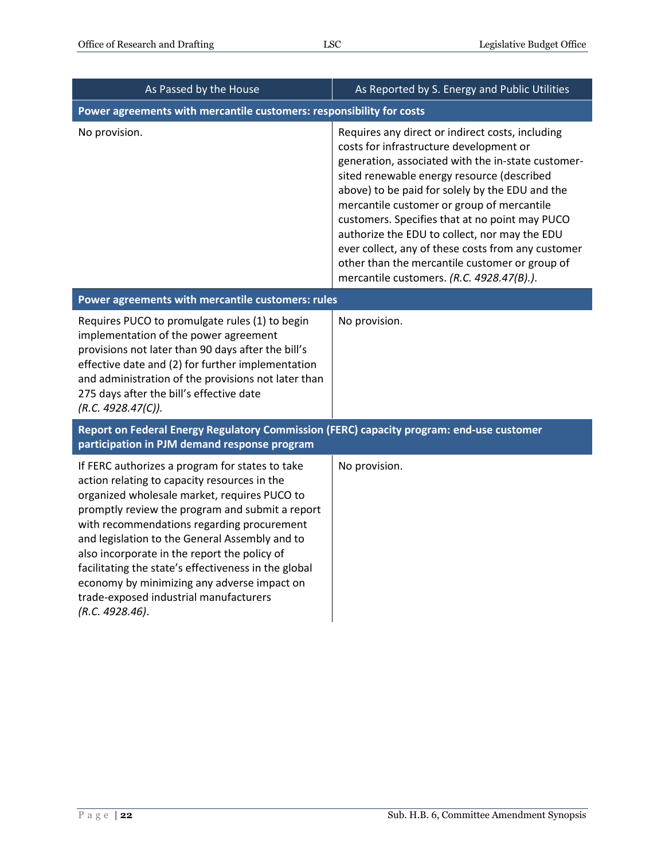| As Passed by the House                                                                                                                                                                                                                                                                                                                                                                                                                                                                                                 | As Reported by S. Energy and Public Utilities                                                                                                                                                                                                                                                                                                                                                                                                                                                                                                            |
|------------------------------------------------------------------------------------------------------------------------------------------------------------------------------------------------------------------------------------------------------------------------------------------------------------------------------------------------------------------------------------------------------------------------------------------------------------------------------------------------------------------------|----------------------------------------------------------------------------------------------------------------------------------------------------------------------------------------------------------------------------------------------------------------------------------------------------------------------------------------------------------------------------------------------------------------------------------------------------------------------------------------------------------------------------------------------------------|
| Power agreements with mercantile customers: responsibility for costs                                                                                                                                                                                                                                                                                                                                                                                                                                                   |                                                                                                                                                                                                                                                                                                                                                                                                                                                                                                                                                          |
| No provision.                                                                                                                                                                                                                                                                                                                                                                                                                                                                                                          | Requires any direct or indirect costs, including<br>costs for infrastructure development or<br>generation, associated with the in-state customer-<br>sited renewable energy resource (described<br>above) to be paid for solely by the EDU and the<br>mercantile customer or group of mercantile<br>customers. Specifies that at no point may PUCO<br>authorize the EDU to collect, nor may the EDU<br>ever collect, any of these costs from any customer<br>other than the mercantile customer or group of<br>mercantile customers. (R.C. 4928.47(B).). |
| Power agreements with mercantile customers: rules                                                                                                                                                                                                                                                                                                                                                                                                                                                                      |                                                                                                                                                                                                                                                                                                                                                                                                                                                                                                                                                          |
| Requires PUCO to promulgate rules (1) to begin<br>implementation of the power agreement<br>provisions not later than 90 days after the bill's<br>effective date and (2) for further implementation<br>and administration of the provisions not later than<br>275 days after the bill's effective date<br>(R.C. 4928.47(C)).                                                                                                                                                                                            | No provision.                                                                                                                                                                                                                                                                                                                                                                                                                                                                                                                                            |
| Report on Federal Energy Regulatory Commission (FERC) capacity program: end-use customer<br>participation in PJM demand response program                                                                                                                                                                                                                                                                                                                                                                               |                                                                                                                                                                                                                                                                                                                                                                                                                                                                                                                                                          |
| If FERC authorizes a program for states to take<br>action relating to capacity resources in the<br>organized wholesale market, requires PUCO to<br>promptly review the program and submit a report<br>with recommendations regarding procurement<br>and legislation to the General Assembly and to<br>also incorporate in the report the policy of<br>facilitating the state's effectiveness in the global<br>economy by minimizing any adverse impact on<br>trade-exposed industrial manufacturers<br>(R.C. 4928.46). | No provision.                                                                                                                                                                                                                                                                                                                                                                                                                                                                                                                                            |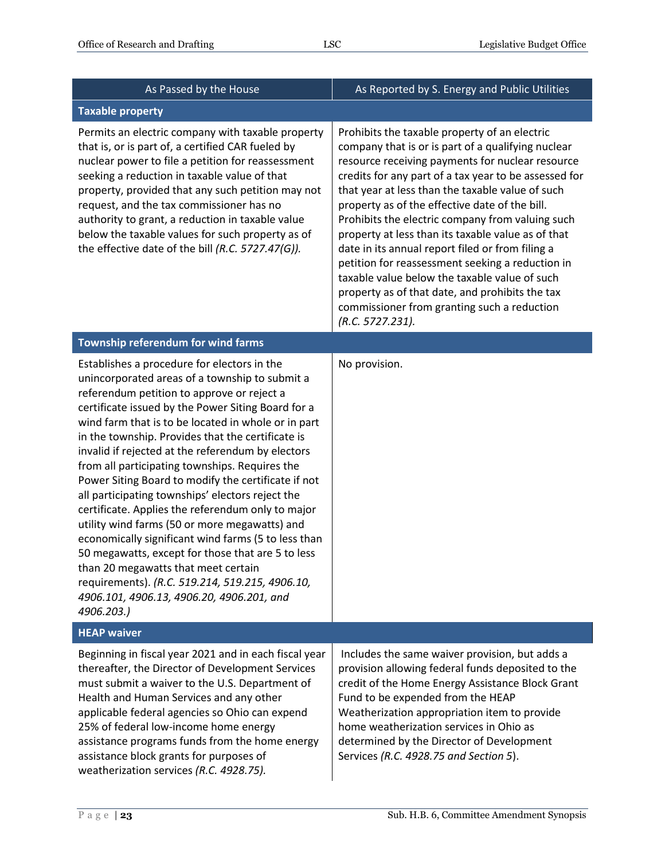| As Passed by the House                                                                                                                                                                                                                                                                                                                                                                                                                                                                                                                                                                                                                                                                                                                                                                                                                                                                                 | As Reported by S. Energy and Public Utilities                                                                                                                                                                                                                                                                                                                                                                                                                                                                                                                                                                                                                                                                   |
|--------------------------------------------------------------------------------------------------------------------------------------------------------------------------------------------------------------------------------------------------------------------------------------------------------------------------------------------------------------------------------------------------------------------------------------------------------------------------------------------------------------------------------------------------------------------------------------------------------------------------------------------------------------------------------------------------------------------------------------------------------------------------------------------------------------------------------------------------------------------------------------------------------|-----------------------------------------------------------------------------------------------------------------------------------------------------------------------------------------------------------------------------------------------------------------------------------------------------------------------------------------------------------------------------------------------------------------------------------------------------------------------------------------------------------------------------------------------------------------------------------------------------------------------------------------------------------------------------------------------------------------|
| <b>Taxable property</b>                                                                                                                                                                                                                                                                                                                                                                                                                                                                                                                                                                                                                                                                                                                                                                                                                                                                                |                                                                                                                                                                                                                                                                                                                                                                                                                                                                                                                                                                                                                                                                                                                 |
| Permits an electric company with taxable property<br>that is, or is part of, a certified CAR fueled by<br>nuclear power to file a petition for reassessment<br>seeking a reduction in taxable value of that<br>property, provided that any such petition may not<br>request, and the tax commissioner has no<br>authority to grant, a reduction in taxable value<br>below the taxable values for such property as of<br>the effective date of the bill (R.C. 5727.47(G)).                                                                                                                                                                                                                                                                                                                                                                                                                              | Prohibits the taxable property of an electric<br>company that is or is part of a qualifying nuclear<br>resource receiving payments for nuclear resource<br>credits for any part of a tax year to be assessed for<br>that year at less than the taxable value of such<br>property as of the effective date of the bill.<br>Prohibits the electric company from valuing such<br>property at less than its taxable value as of that<br>date in its annual report filed or from filing a<br>petition for reassessment seeking a reduction in<br>taxable value below the taxable value of such<br>property as of that date, and prohibits the tax<br>commissioner from granting such a reduction<br>(R.C. 5727.231). |
| Township referendum for wind farms                                                                                                                                                                                                                                                                                                                                                                                                                                                                                                                                                                                                                                                                                                                                                                                                                                                                     |                                                                                                                                                                                                                                                                                                                                                                                                                                                                                                                                                                                                                                                                                                                 |
| Establishes a procedure for electors in the<br>unincorporated areas of a township to submit a<br>referendum petition to approve or reject a<br>certificate issued by the Power Siting Board for a<br>wind farm that is to be located in whole or in part<br>in the township. Provides that the certificate is<br>invalid if rejected at the referendum by electors<br>from all participating townships. Requires the<br>Power Siting Board to modify the certificate if not<br>all participating townships' electors reject the<br>certificate. Applies the referendum only to major<br>utility wind farms (50 or more megawatts) and<br>economically significant wind farms (5 to less than<br>50 megawatts, except for those that are 5 to less<br>than 20 megawatts that meet certain<br>requirements). (R.C. 519.214, 519.215, 4906.10,<br>4906.101, 4906.13, 4906.20, 4906.201, and<br>4906.203.) | No provision.                                                                                                                                                                                                                                                                                                                                                                                                                                                                                                                                                                                                                                                                                                   |
| <b>HEAP waiver</b>                                                                                                                                                                                                                                                                                                                                                                                                                                                                                                                                                                                                                                                                                                                                                                                                                                                                                     |                                                                                                                                                                                                                                                                                                                                                                                                                                                                                                                                                                                                                                                                                                                 |
| Beginning in fiscal year 2021 and in each fiscal year<br>thereafter, the Director of Development Services<br>must submit a waiver to the U.S. Department of<br>Health and Human Services and any other<br>applicable federal agencies so Ohio can expend<br>25% of federal low-income home energy<br>assistance programs funds from the home energy<br>assistance block grants for purposes of<br>weatherization services (R.C. 4928.75).                                                                                                                                                                                                                                                                                                                                                                                                                                                              | Includes the same waiver provision, but adds a<br>provision allowing federal funds deposited to the<br>credit of the Home Energy Assistance Block Grant<br>Fund to be expended from the HEAP<br>Weatherization appropriation item to provide<br>home weatherization services in Ohio as<br>determined by the Director of Development<br>Services (R.C. 4928.75 and Section 5).                                                                                                                                                                                                                                                                                                                                  |